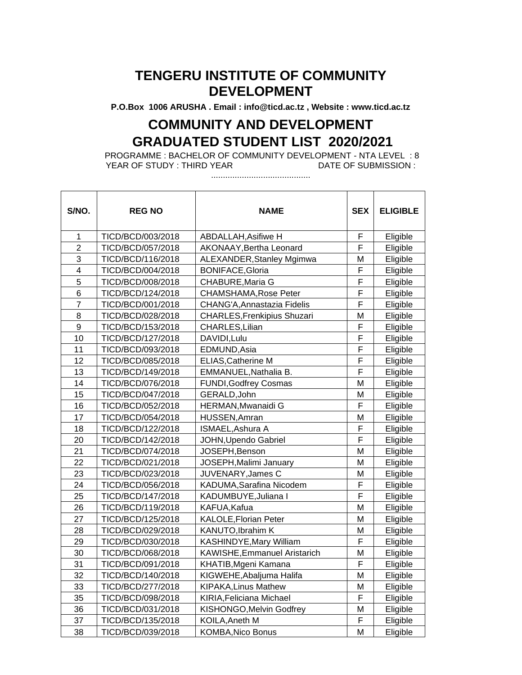**P.O.Box 1006 ARUSHA . Email : info@ticd.ac.tz , Website : www.ticd.ac.tz**

## **COMMUNITY AND DEVELOPMENT GRADUATED STUDENT LIST 2020/2021**

PROGRAMME : BACHELOR OF COMMUNITY DEVELOPMENT - NTA LEVEL : 8 YEAR OF STUDY : THIRD YEAR

..........................................

| S/NO.                   | <b>REG NO</b>     | <b>NAME</b>                         | <b>SEX</b> | <b>ELIGIBLE</b> |
|-------------------------|-------------------|-------------------------------------|------------|-----------------|
| $\mathbf{1}$            | TICD/BCD/003/2018 | <b>ABDALLAH, Asifiwe H</b>          | F          | Eligible        |
| $\overline{2}$          | TICD/BCD/057/2018 | AKONAAY, Bertha Leonard             | F          | Eligible        |
| 3                       | TICD/BCD/116/2018 | ALEXANDER, Stanley Mgimwa           | M          | Eligible        |
| $\overline{\mathbf{4}}$ | TICD/BCD/004/2018 | <b>BONIFACE, Gloria</b>             | F          | Eligible        |
| 5                       | TICD/BCD/008/2018 | <b>CHABURE, Maria G</b>             | F          | Eligible        |
| 6                       | TICD/BCD/124/2018 | <b>CHAMSHAMA, Rose Peter</b>        | F          | Eligible        |
| $\overline{7}$          | TICD/BCD/001/2018 | CHANG'A, Annastazia Fidelis         | F          | Eligible        |
| 8                       | TICD/BCD/028/2018 | <b>CHARLES, Frenkipius Shuzari</b>  | M          | Eligible        |
| $\boldsymbol{9}$        | TICD/BCD/153/2018 | CHARLES, Lilian                     | F          | Eligible        |
| 10                      | TICD/BCD/127/2018 | DAVIDI, Lulu                        | F          | Eligible        |
| 11                      | TICD/BCD/093/2018 | EDMUND, Asia                        | F          | Eligible        |
| 12                      | TICD/BCD/085/2018 | <b>ELIAS, Catherine M</b>           | F          | Eligible        |
| 13                      | TICD/BCD/149/2018 | EMMANUEL, Nathalia B.               | F          | Eligible        |
| 14                      | TICD/BCD/076/2018 | <b>FUNDI, Godfrey Cosmas</b>        | M          | Eligible        |
| 15                      | TICD/BCD/047/2018 | GERALD, John                        | M          | Eligible        |
| 16                      | TICD/BCD/052/2018 | HERMAN, Mwanaidi G                  | F          | Eligible        |
| 17                      | TICD/BCD/054/2018 | HUSSEN, Amran                       | M          | Eligible        |
| 18                      | TICD/BCD/122/2018 | ISMAEL, Ashura A                    | F          | Eligible        |
| 20                      | TICD/BCD/142/2018 | JOHN, Upendo Gabriel                | F          | Eligible        |
| 21                      | TICD/BCD/074/2018 | JOSEPH, Benson                      | M          | Eligible        |
| 22                      | TICD/BCD/021/2018 | JOSEPH, Malimi January              | M          | Eligible        |
| 23                      | TICD/BCD/023/2018 | JUVENARY, James C                   | M          | Eligible        |
| 24                      | TICD/BCD/056/2018 | KADUMA, Sarafina Nicodem            | F          | Eligible        |
| 25                      | TICD/BCD/147/2018 | KADUMBUYE, Juliana I                | F          | Eligible        |
| 26                      | TICD/BCD/119/2018 | KAFUA, Kafua                        | M          | Eligible        |
| 27                      | TICD/BCD/125/2018 | <b>KALOLE, Florian Peter</b>        | M          | Eligible        |
| 28                      | TICD/BCD/029/2018 | KANUTO, Ibrahim K                   | M          | Eligible        |
| 29                      | TICD/BCD/030/2018 | KASHINDYE, Mary William             | F          | Eligible        |
| 30                      | TICD/BCD/068/2018 | <b>KAWISHE, Emmanuel Aristarich</b> | M          | Eligible        |
| 31                      | TICD/BCD/091/2018 | KHATIB, Mgeni Kamana                | F          | Eligible        |
| 32                      | TICD/BCD/140/2018 | KIGWEHE, Abaljuma Halifa            | M          | Eligible        |
| 33                      | TICD/BCD/277/2018 | <b>KIPAKA, Linus Mathew</b>         | M          | Eligible        |
| 35                      | TICD/BCD/098/2018 | KIRIA, Feliciana Michael            | F          | Eligible        |
| 36                      | TICD/BCD/031/2018 | KISHONGO, Melvin Godfrey            | M          | Eligible        |
| 37                      | TICD/BCD/135/2018 | <b>KOILA, Aneth M</b>               | F          | Eligible        |
| 38                      | TICD/BCD/039/2018 | <b>KOMBA, Nico Bonus</b>            | M          | Eligible        |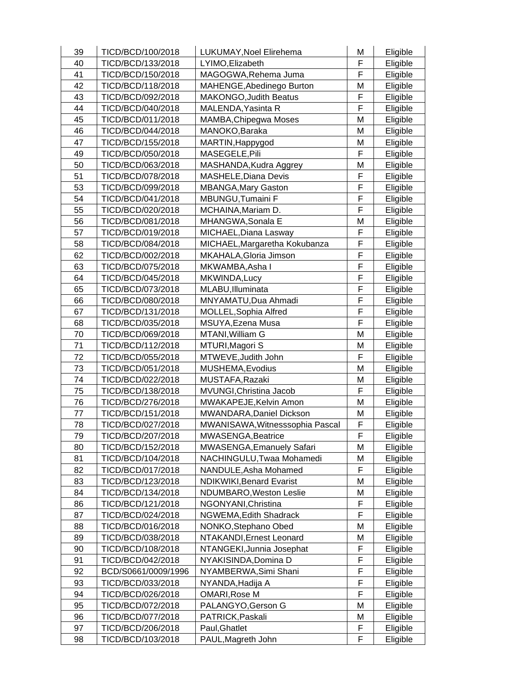| 39 | TICD/BCD/100/2018   | LUKUMAY, Noel Elirehema          | M | Eligible |
|----|---------------------|----------------------------------|---|----------|
| 40 | TICD/BCD/133/2018   | LYIMO, Elizabeth                 | F | Eligible |
| 41 | TICD/BCD/150/2018   | MAGOGWA, Rehema Juma             | F | Eligible |
| 42 | TICD/BCD/118/2018   | MAHENGE, Abedinego Burton        | M | Eligible |
| 43 | TICD/BCD/092/2018   | <b>MAKONGO, Judith Beatus</b>    | F | Eligible |
| 44 | TICD/BCD/040/2018   | MALENDA, Yasinta R               | F | Eligible |
| 45 | TICD/BCD/011/2018   | MAMBA, Chipegwa Moses            | M | Eligible |
| 46 | TICD/BCD/044/2018   | MANOKO, Baraka                   | M | Eligible |
| 47 | TICD/BCD/155/2018   | MARTIN, Happygod                 | M | Eligible |
| 49 | TICD/BCD/050/2018   | MASEGELE, Pili                   | F | Eligible |
| 50 | TICD/BCD/063/2018   | MASHANDA, Kudra Aggrey           | M | Eligible |
| 51 | TICD/BCD/078/2018   | <b>MASHELE, Diana Devis</b>      | F | Eligible |
| 53 | TICD/BCD/099/2018   | <b>MBANGA, Mary Gaston</b>       | F | Eligible |
| 54 | TICD/BCD/041/2018   | MBUNGU, Tumaini F                | F | Eligible |
| 55 | TICD/BCD/020/2018   | MCHAINA, Mariam D.               | F | Eligible |
| 56 | TICD/BCD/081/2018   | MHANGWA, Sonala E                | M | Eligible |
| 57 | TICD/BCD/019/2018   | MICHAEL, Diana Lasway            | F | Eligible |
| 58 | TICD/BCD/084/2018   | MICHAEL, Margaretha Kokubanza    | F | Eligible |
| 62 | TICD/BCD/002/2018   | MKAHALA, Gloria Jimson           | F | Eligible |
| 63 | TICD/BCD/075/2018   | MKWAMBA, Asha I                  | F | Eligible |
| 64 | TICD/BCD/045/2018   | MKWINDA, Lucy                    | F | Eligible |
| 65 | TICD/BCD/073/2018   | MLABU, Illuminata                | F | Eligible |
| 66 | TICD/BCD/080/2018   | MNYAMATU, Dua Ahmadi             | F | Eligible |
| 67 | TICD/BCD/131/2018   | <b>MOLLEL, Sophia Alfred</b>     | F | Eligible |
| 68 | TICD/BCD/035/2018   | MSUYA, Ezena Musa                | F | Eligible |
| 70 | TICD/BCD/069/2018   | MTANI, William G                 | M | Eligible |
| 71 | TICD/BCD/112/2018   | MTURI, Magori S                  | M | Eligible |
| 72 | TICD/BCD/055/2018   | MTWEVE, Judith John              | F | Eligible |
| 73 | TICD/BCD/051/2018   | MUSHEMA, Evodius                 | M | Eligible |
| 74 | TICD/BCD/022/2018   | MUSTAFA, Razaki                  | M | Eligible |
| 75 | TICD/BCD/138/2018   | MVUNGI, Christina Jacob          | F | Eligible |
| 76 | TICD/BCD/276/2018   | MWAKAPEJE, Kelvin Amon           | M | Eligible |
| 77 | TICD/BCD/151/2018   | MWANDARA, Daniel Dickson         | Μ | Eligible |
| 78 | TICD/BCD/027/2018   | MWANISAWA, Witnesssophia Pascal  | F | Eligible |
| 79 | TICD/BCD/207/2018   | MWASENGA, Beatrice               | F | Eligible |
| 80 | TICD/BCD/152/2018   | <b>MWASENGA, Emanuely Safari</b> | M | Eligible |
| 81 | TICD/BCD/104/2018   | NACHINGULU, Twaa Mohamedi        | M | Eligible |
| 82 | TICD/BCD/017/2018   | NANDULE, Asha Mohamed            | F | Eligible |
| 83 | TICD/BCD/123/2018   | <b>NDIKWIKI, Benard Evarist</b>  | M | Eligible |
| 84 | TICD/BCD/134/2018   | NDUMBARO, Weston Leslie          | M | Eligible |
| 86 | TICD/BCD/121/2018   | NGONYANI, Christina              | F | Eligible |
| 87 | TICD/BCD/024/2018   | NGWEMA, Edith Shadrack           | F | Eligible |
| 88 | TICD/BCD/016/2018   | NONKO, Stephano Obed             | M | Eligible |
| 89 | TICD/BCD/038/2018   | NTAKANDI, Ernest Leonard         | M | Eligible |
| 90 | TICD/BCD/108/2018   | NTANGEKI, Junnia Josephat        | F | Eligible |
| 91 | TICD/BCD/042/2018   | NYAKISINDA, Domina D             | F | Eligible |
| 92 | BCD/S0661/0009/1996 | NYAMBERWA, Simi Shani            | F | Eligible |
| 93 | TICD/BCD/033/2018   | NYANDA,Hadija A                  | F | Eligible |
| 94 | TICD/BCD/026/2018   | OMARI, Rose M                    | F | Eligible |
| 95 | TICD/BCD/072/2018   | PALANGYO, Gerson G               | M | Eligible |
| 96 | TICD/BCD/077/2018   | PATRICK, Paskali                 | M | Eligible |
| 97 | TICD/BCD/206/2018   | Paul, Ghatlet                    | F | Eligible |
| 98 | TICD/BCD/103/2018   | PAUL, Magreth John               | F | Eligible |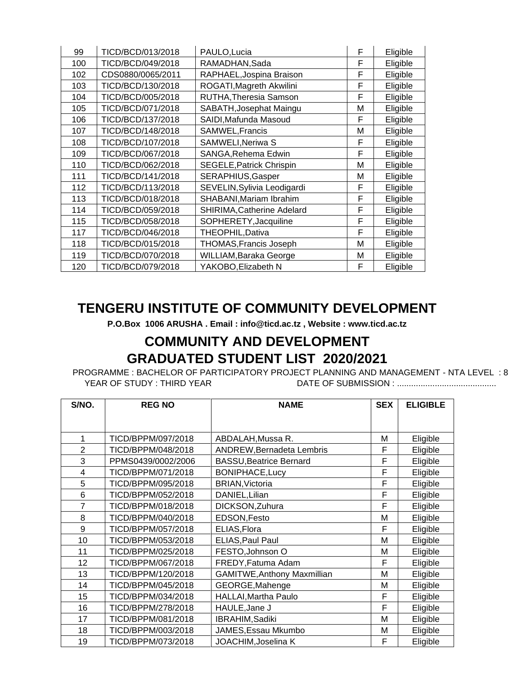| 99  | TICD/BCD/013/2018 | PAULO, Lucia                    | F | Eligible |
|-----|-------------------|---------------------------------|---|----------|
| 100 | TICD/BCD/049/2018 | RAMADHAN, Sada                  | F | Eligible |
| 102 | CDS0880/0065/2011 | RAPHAEL, Jospina Braison        | F | Eligible |
| 103 | TICD/BCD/130/2018 | ROGATI, Magreth Akwilini        | F | Eligible |
| 104 | TICD/BCD/005/2018 | RUTHA, Theresia Samson          | F | Eligible |
| 105 | TICD/BCD/071/2018 | SABATH, Josephat Maingu         | M | Eligible |
| 106 | TICD/BCD/137/2018 | SAIDI, Mafunda Masoud           | F | Eligible |
| 107 | TICD/BCD/148/2018 | SAMWEL, Francis                 | M | Eligible |
| 108 | TICD/BCD/107/2018 | SAMWELI, Neriwa S               | F | Eligible |
| 109 | TICD/BCD/067/2018 | SANGA, Rehema Edwin             | F | Eligible |
| 110 | TICD/BCD/062/2018 | <b>SEGELE, Patrick Chrispin</b> | M | Eligible |
| 111 | TICD/BCD/141/2018 | SERAPHIUS, Gasper               | M | Eligible |
| 112 | TICD/BCD/113/2018 | SEVELIN, Sylivia Leodigardi     | F | Eligible |
| 113 | TICD/BCD/018/2018 | SHABANI, Mariam Ibrahim         | F | Eligible |
| 114 | TICD/BCD/059/2018 | SHIRIMA, Catherine Adelard      | F | Eligible |
| 115 | TICD/BCD/058/2018 | SOPHERETY, Jacquiline           | F | Eligible |
| 117 | TICD/BCD/046/2018 | THEOPHIL, Dativa                | F | Eligible |
| 118 | TICD/BCD/015/2018 | THOMAS, Francis Joseph          | М | Eligible |
| 119 | TICD/BCD/070/2018 | WILLIAM, Baraka George          | M | Eligible |
| 120 | TICD/BCD/079/2018 | YAKOBO, Elizabeth N             | F | Eligible |

**P.O.Box 1006 ARUSHA . Email : info@ticd.ac.tz , Website : www.ticd.ac.tz**

## **COMMUNITY AND DEVELOPMENT GRADUATED STUDENT LIST 2020/2021**

PROGRAMME : BACHELOR OF PARTICIPATORY PROJECT PLANNING AND MANAGEMENT - NTA LEVEL : 8 YEAR OF STUDY : THIRD YEAR DATE OF SUBMISSION : ..........................................

| S/NO.          | <b>REG NO</b>      | <b>NAME</b>                        | <b>SEX</b> | <b>ELIGIBLE</b> |
|----------------|--------------------|------------------------------------|------------|-----------------|
|                |                    |                                    |            |                 |
|                |                    |                                    |            |                 |
| 1              | TICD/BPPM/097/2018 | ABDALAH, Mussa R.                  | Μ          | Eligible        |
| $\overline{2}$ | TICD/BPPM/048/2018 | <b>ANDREW, Bernadeta Lembris</b>   | F          | Eligible        |
| 3              | PPMS0439/0002/2006 | <b>BASSU, Beatrice Bernard</b>     | F          | Eligible        |
| 4              | TICD/BPPM/071/2018 | <b>BONIPHACE, Lucy</b>             | F          | Eligible        |
| 5              | TICD/BPPM/095/2018 | <b>BRIAN, Victoria</b>             | F          | Eligible        |
| 6              | TICD/BPPM/052/2018 | DANIEL, Lilian                     | F          | Eligible        |
| 7              | TICD/BPPM/018/2018 | DICKSON, Zuhura                    | F          | Eligible        |
| 8              | TICD/BPPM/040/2018 | EDSON, Festo                       | M          | Eligible        |
| 9              | TICD/BPPM/057/2018 | ELIAS, Flora                       | F          | Eligible        |
| 10             | TICD/BPPM/053/2018 | ELIAS, Paul Paul                   | М          | Eligible        |
| 11             | TICD/BPPM/025/2018 | FESTO, Johnson O                   | М          | Eligible        |
| 12             | TICD/BPPM/067/2018 | FREDY, Fatuma Adam                 | F          | Eligible        |
| 13             | TICD/BPPM/120/2018 | <b>GAMITWE, Anthony Maxmillian</b> | М          | Eligible        |
| 14             | TICD/BPPM/045/2018 | GEORGE, Mahenge                    | Μ          | Eligible        |
| 15             | TICD/BPPM/034/2018 | <b>HALLAI, Martha Paulo</b>        | F          | Eligible        |
| 16             | TICD/BPPM/278/2018 | HAULE, Jane J                      | F          | Eligible        |
| 17             | TICD/BPPM/081/2018 | IBRAHIM, Sadiki                    | М          | Eligible        |
| 18             | TICD/BPPM/003/2018 | JAMES, Essau Mkumbo                | М          | Eligible        |
| 19             | TICD/BPPM/073/2018 | JOACHIM, Joselina K                | F          | Eligible        |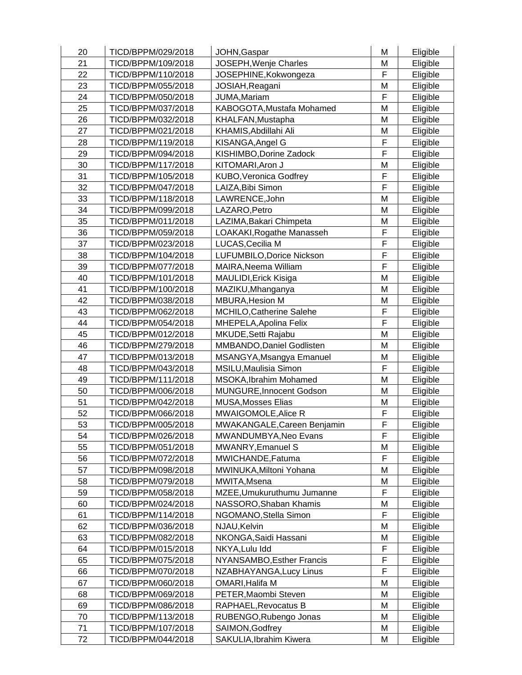| 20 | TICD/BPPM/029/2018 | JOHN, Gaspar                 | M              | Eligible |
|----|--------------------|------------------------------|----------------|----------|
| 21 | TICD/BPPM/109/2018 | JOSEPH, Wenje Charles        | M              | Eligible |
| 22 | TICD/BPPM/110/2018 | JOSEPHINE, Kokwongeza        | F              | Eligible |
| 23 | TICD/BPPM/055/2018 | JOSIAH, Reagani              | M              | Eligible |
| 24 | TICD/BPPM/050/2018 | JUMA, Mariam                 | F              | Eligible |
| 25 | TICD/BPPM/037/2018 | KABOGOTA, Mustafa Mohamed    | M              | Eligible |
| 26 | TICD/BPPM/032/2018 | KHALFAN, Mustapha            | M              | Eligible |
| 27 | TICD/BPPM/021/2018 | KHAMIS, Abdillahi Ali        | M              | Eligible |
| 28 | TICD/BPPM/119/2018 | KISANGA, Angel G             | F              | Eligible |
| 29 | TICD/BPPM/094/2018 | KISHIMBO, Dorine Zadock      | F              | Eligible |
| 30 | TICD/BPPM/117/2018 | KITOMARI, Aron J             | M              | Eligible |
| 31 | TICD/BPPM/105/2018 | KUBO, Veronica Godfrey       | F              | Eligible |
| 32 | TICD/BPPM/047/2018 | LAIZA, Bibi Simon            | F              | Eligible |
| 33 | TICD/BPPM/118/2018 | LAWRENCE, John               | M              | Eligible |
| 34 | TICD/BPPM/099/2018 | LAZARO, Petro                | M              | Eligible |
| 35 | TICD/BPPM/011/2018 | LAZIMA, Bakari Chimpeta      | M              | Eligible |
| 36 | TICD/BPPM/059/2018 | LOAKAKI, Rogathe Manasseh    | F              | Eligible |
| 37 | TICD/BPPM/023/2018 | LUCAS, Cecilia M             | F              | Eligible |
| 38 | TICD/BPPM/104/2018 | LUFUMBILO, Dorice Nickson    | F              | Eligible |
| 39 | TICD/BPPM/077/2018 | MAIRA, Neema William         | F              | Eligible |
| 40 | TICD/BPPM/101/2018 | <b>MAULIDI, Erick Kisiga</b> | M              | Eligible |
| 41 | TICD/BPPM/100/2018 | MAZIKU, Mhanganya            | M              | Eligible |
| 42 | TICD/BPPM/038/2018 | <b>MBURA, Hesion M</b>       | M              | Eligible |
| 43 | TICD/BPPM/062/2018 | MCHILO, Catherine Salehe     | F              | Eligible |
| 44 | TICD/BPPM/054/2018 | MHEPELA, Apolina Felix       | $\overline{F}$ | Eligible |
| 45 | TICD/BPPM/012/2018 | MKUDE, Setti Rajabu          | M              | Eligible |
| 46 | TICD/BPPM/279/2018 | MMBANDO, Daniel Godlisten    | M              | Eligible |
| 47 | TICD/BPPM/013/2018 | MSANGYA, Msangya Emanuel     | M              | Eligible |
| 48 | TICD/BPPM/043/2018 | MSILU, Maulisia Simon        | F              | Eligible |
| 49 | TICD/BPPM/111/2018 | MSOKA, Ibrahim Mohamed       | M              | Eligible |
| 50 | TICD/BPPM/006/2018 | MUNGURE, Innocent Godson     | M              | Eligible |
| 51 | TICD/BPPM/042/2018 | <b>MUSA, Mosses Elias</b>    | M              | Eligible |
| 52 | TICD/BPPM/066/2018 | MWAIGOMOLE, Alice R          | F              | Eligible |
| 53 | TICD/BPPM/005/2018 | MWAKANGALE, Careen Benjamin  | F              | Eligible |
| 54 | TICD/BPPM/026/2018 | MWANDUMBYA, Neo Evans        | F              | Eligible |
| 55 | TICD/BPPM/051/2018 | MWANRY, Emanuel S            | M              | Eligible |
| 56 | TICD/BPPM/072/2018 | MWICHANDE, Fatuma            | F              | Eligible |
| 57 | TICD/BPPM/098/2018 | MWINUKA, Miltoni Yohana      | M              | Eligible |
| 58 | TICD/BPPM/079/2018 | MWITA, Msena                 | M              | Eligible |
| 59 | TICD/BPPM/058/2018 | MZEE, Umukuruthumu Jumanne   | F              | Eligible |
| 60 | TICD/BPPM/024/2018 | NASSORO, Shaban Khamis       | M              | Eligible |
| 61 | TICD/BPPM/114/2018 | NGOMANO, Stella Simon        | F              | Eligible |
| 62 | TICD/BPPM/036/2018 | NJAU, Kelvin                 | M              | Eligible |
| 63 | TICD/BPPM/082/2018 | NKONGA, Saidi Hassani        | M              | Eligible |
| 64 | TICD/BPPM/015/2018 | NKYA, Lulu Idd               | F              | Eligible |
| 65 | TICD/BPPM/075/2018 | NYANSAMBO, Esther Francis    | F              | Eligible |
| 66 | TICD/BPPM/070/2018 | NZABHAYANGA, Lucy Linus      | F              | Eligible |
| 67 | TICD/BPPM/060/2018 | OMARI, Halifa M              | M              | Eligible |
| 68 | TICD/BPPM/069/2018 | PETER, Maombi Steven         | M              | Eligible |
| 69 | TICD/BPPM/086/2018 | RAPHAEL, Revocatus B         | M              | Eligible |
| 70 | TICD/BPPM/113/2018 | RUBENGO, Rubengo Jonas       | M              | Eligible |
| 71 | TICD/BPPM/107/2018 | SAIMON, Godfrey              | M              | Eligible |
| 72 | TICD/BPPM/044/2018 | SAKULIA, Ibrahim Kiwera      | M              | Eligible |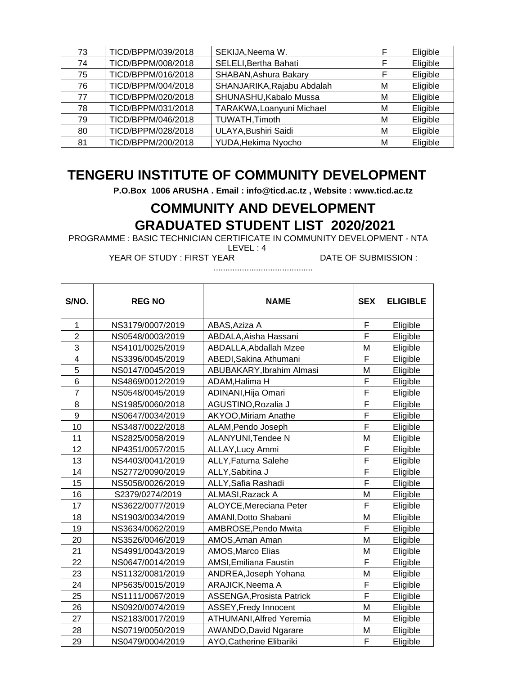| 73 | TICD/BPPM/039/2018 | SEKIJA, Neema W.           | F | Eligible |
|----|--------------------|----------------------------|---|----------|
| 74 | TICD/BPPM/008/2018 | SELELI, Bertha Bahati      | F | Eligible |
| 75 | TICD/BPPM/016/2018 | SHABAN, Ashura Bakary      | F | Eligible |
| 76 | TICD/BPPM/004/2018 | SHANJARIKA, Rajabu Abdalah | M | Eligible |
| 77 | TICD/BPPM/020/2018 | SHUNASHU, Kabalo Mussa     | M | Eligible |
| 78 | TICD/BPPM/031/2018 | TARAKWA, Loanyuni Michael  | M | Eligible |
| 79 | TICD/BPPM/046/2018 | TUWATH, Timoth             | M | Eligible |
| 80 | TICD/BPPM/028/2018 | ULAYA, Bushiri Saidi       | М | Eligible |
| 81 | TICD/BPPM/200/2018 | YUDA, Hekima Nyocho        | М | Eligible |

**P.O.Box 1006 ARUSHA . Email : info@ticd.ac.tz , Website : www.ticd.ac.tz**

## **COMMUNITY AND DEVELOPMENT GRADUATED STUDENT LIST 2020/2021**

PROGRAMME : BASIC TECHNICIAN CERTIFICATE IN COMMUNITY DEVELOPMENT - NTA

LEVEL : 4

YEAR OF STUDY : FIRST YEAR DATE OF SUBMISSION :

| S/NO.                   | <b>REG NO</b>    | <b>NAME</b>                      | <b>SEX</b> | <b>ELIGIBLE</b> |
|-------------------------|------------------|----------------------------------|------------|-----------------|
| 1                       | NS3179/0007/2019 | ABAS, Aziza A                    | F          | Eligible        |
| $\overline{2}$          | NS0548/0003/2019 | ABDALA, Aisha Hassani            | F          | Eligible        |
| 3                       | NS4101/0025/2019 | ABDALLA, Abdallah Mzee           | M          | Eligible        |
| $\overline{\mathbf{4}}$ | NS3396/0045/2019 | ABEDI, Sakina Athumani           | F          | Eligible        |
| 5                       | NS0147/0045/2019 | ABUBAKARY, Ibrahim Almasi        | M          | Eligible        |
| 6                       | NS4869/0012/2019 | ADAM, Halima H                   | F          | Eligible        |
| $\overline{7}$          | NS0548/0045/2019 | ADINANI, Hija Omari              | F          | Eligible        |
| 8                       | NS1985/0060/2018 | AGUSTINO, Rozalia J              | F          | Eligible        |
| 9                       | NS0647/0034/2019 | <b>AKYOO, Miriam Anathe</b>      | F          | Eligible        |
| 10                      | NS3487/0022/2018 | ALAM, Pendo Joseph               | F          | Eligible        |
| 11                      | NS2825/0058/2019 | ALANYUNI, Tendee N               | M          | Eligible        |
| 12                      | NP4351/0057/2015 | ALLAY, Lucy Ammi                 | F          | Eligible        |
| 13                      | NS4403/0041/2019 | ALLY, Fatuma Salehe              | F          | Eligible        |
| 14                      | NS2772/0090/2019 | ALLY, Sabitina J                 | F          | Eligible        |
| 15                      | NS5058/0026/2019 | ALLY, Safia Rashadi              | F          | Eligible        |
| 16                      | S2379/0274/2019  | ALMASI, Razack A                 | M          | Eligible        |
| 17                      | NS3622/0077/2019 | ALOYCE, Mereciana Peter          | F          | Eligible        |
| 18                      | NS1903/0034/2019 | AMANI, Dotto Shabani             | M          | Eligible        |
| 19                      | NS3634/0062/2019 | AMBROSE, Pendo Mwita             | F          | Eligible        |
| 20                      | NS3526/0046/2019 | AMOS, Aman Aman                  | M          | Eligible        |
| 21                      | NS4991/0043/2019 | AMOS, Marco Elias                | M          | Eligible        |
| 22                      | NS0647/0014/2019 | AMSI, Emiliana Faustin           | F          | Eligible        |
| 23                      | NS1132/0081/2019 | ANDREA, Joseph Yohana            | M          | Eligible        |
| 24                      | NP5635/0015/2019 | ARAJICK, Neema A                 | F          | Eligible        |
| 25                      | NS1111/0067/2019 | <b>ASSENGA, Prosista Patrick</b> | F          | Eligible        |
| 26                      | NS0920/0074/2019 | ASSEY, Fredy Innocent            | M          | Eligible        |
| 27                      | NS2183/0017/2019 | ATHUMANI, Alfred Yeremia         | M          | Eligible        |
| 28                      | NS0719/0050/2019 | AWANDO, David Ngarare            | M          | Eligible        |
| 29                      | NS0479/0004/2019 | <b>AYO, Catherine Elibariki</b>  | F          | Eligible        |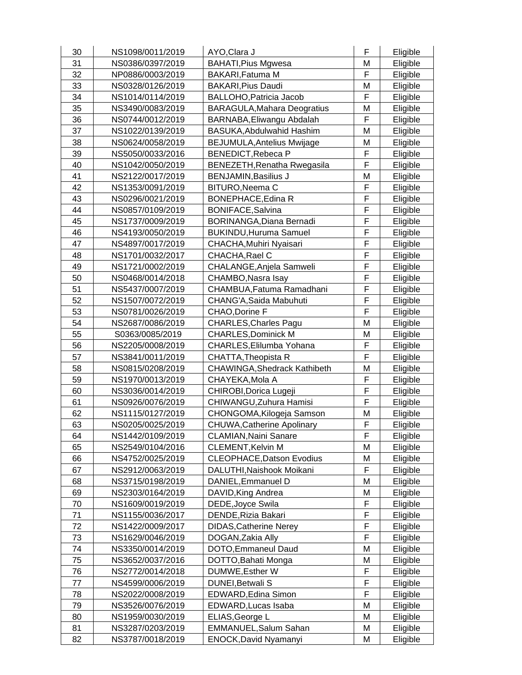| 30 | NS1098/0011/2019 | AYO, Clara J                       | F | Eligible |
|----|------------------|------------------------------------|---|----------|
| 31 | NS0386/0397/2019 | <b>BAHATI, Pius Mgwesa</b>         | Μ | Eligible |
| 32 | NP0886/0003/2019 | BAKARI, Fatuma M                   | F | Eligible |
| 33 | NS0328/0126/2019 | <b>BAKARI, Pius Daudi</b>          | M | Eligible |
| 34 | NS1014/0114/2019 | <b>BALLOHO, Patricia Jacob</b>     | F | Eligible |
| 35 | NS3490/0083/2019 | <b>BARAGULA, Mahara Deogratius</b> | М | Eligible |
| 36 | NS0744/0012/2019 | BARNABA, Eliwangu Abdalah          | F | Eligible |
| 37 | NS1022/0139/2019 | BASUKA, Abdulwahid Hashim          | M | Eligible |
| 38 | NS0624/0058/2019 | <b>BEJUMULA, Antelius Mwijage</b>  | Μ | Eligible |
| 39 | NS5050/0033/2016 | <b>BENEDICT, Rebeca P</b>          | F | Eligible |
| 40 | NS1042/0050/2019 | BENEZETH, Renatha Rwegasila        | F | Eligible |
| 41 | NS2122/0017/2019 | <b>BENJAMIN, Basilius J</b>        | M | Eligible |
| 42 | NS1353/0091/2019 | BITURO, Neema C                    | F | Eligible |
| 43 | NS0296/0021/2019 | <b>BONEPHACE, Edina R</b>          | F | Eligible |
| 44 | NS0857/0109/2019 | <b>BONIFACE, Salvina</b>           | F | Eligible |
| 45 | NS1737/0009/2019 | BORINANGA, Diana Bernadi           | F | Eligible |
| 46 | NS4193/0050/2019 | <b>BUKINDU, Huruma Samuel</b>      | F | Eligible |
| 47 | NS4897/0017/2019 | CHACHA, Muhiri Nyaisari            | F | Eligible |
| 48 | NS1701/0032/2017 | CHACHA, Rael C                     | F | Eligible |
| 49 | NS1721/0002/2019 | CHALANGE, Anjela Samweli           | F | Eligible |
| 50 | NS0468/0014/2018 | CHAMBO, Nasra Isay                 | F | Eligible |
| 51 | NS5437/0007/2019 | CHAMBUA, Fatuma Ramadhani          | F | Eligible |
| 52 | NS1507/0072/2019 | CHANG'A, Saida Mabuhuti            | F | Eligible |
| 53 | NS0781/0026/2019 | CHAO, Dorine F                     | F | Eligible |
| 54 | NS2687/0086/2019 | <b>CHARLES, Charles Pagu</b>       | M | Eligible |
| 55 | S0363/0085/2019  | <b>CHARLES, Dominick M</b>         | M | Eligible |
| 56 | NS2205/0008/2019 | CHARLES, Elilumba Yohana           | F | Eligible |
| 57 | NS3841/0011/2019 | CHATTA, Theopista R                | F | Eligible |
| 58 | NS0815/0208/2019 | CHAWINGA, Shedrack Kathibeth       | Μ | Eligible |
| 59 | NS1970/0013/2019 | CHAYEKA, Mola A                    | F | Eligible |
| 60 | NS3036/0014/2019 | CHIROBI, Dorica Lugeji             | F | Eligible |
| 61 | NS0926/0076/2019 | CHIWANGU, Zuhura Hamisi            | F | Eligible |
| 62 | NS1115/0127/2019 | CHONGOMA, Kilogeja Samson          | Μ | Eligible |
| 63 | NS0205/0025/2019 | <b>CHUWA, Catherine Apolinary</b>  | F | Eligible |
| 64 | NS1442/0109/2019 | <b>CLAMIAN, Naini Sanare</b>       | F | Eligible |
| 65 | NS2549/0104/2016 | <b>CLEMENT, Kelvin M</b>           | M | Eligible |
| 66 | NS4752/0025/2019 | <b>CLEOPHACE, Datson Evodius</b>   | M | Eligible |
| 67 | NS2912/0063/2019 | DALUTHI, Naishook Moikani          | F | Eligible |
| 68 | NS3715/0198/2019 | DANIEL, Emmanuel D                 | М | Eligible |
| 69 | NS2303/0164/2019 | DAVID, King Andrea                 | М | Eligible |
| 70 | NS1609/0019/2019 | DEDE, Joyce Swila                  | F | Eligible |
| 71 | NS1155/0036/2017 | DENDE, Rizia Bakari                | F | Eligible |
| 72 | NS1422/0009/2017 | <b>DIDAS, Catherine Nerey</b>      | F | Eligible |
| 73 | NS1629/0046/2019 | DOGAN, Zakia Ally                  | F | Eligible |
| 74 | NS3350/0014/2019 | DOTO, Emmaneul Daud                | M | Eligible |
| 75 | NS3652/0037/2016 | DOTTO, Bahati Monga                | M | Eligible |
| 76 | NS2772/0014/2018 | DUMWE, Esther W                    | F | Eligible |
| 77 | NS4599/0006/2019 | DUNEI, Betwali S                   | F | Eligible |
| 78 | NS2022/0008/2019 | EDWARD, Edina Simon                | F | Eligible |
| 79 | NS3526/0076/2019 | EDWARD, Lucas Isaba                | M | Eligible |
| 80 | NS1959/0030/2019 | ELIAS, George L                    | M | Eligible |
| 81 | NS3287/0203/2019 | EMMANUEL, Salum Sahan              | M | Eligible |
| 82 | NS3787/0018/2019 | <b>ENOCK, David Nyamanyi</b>       | M | Eligible |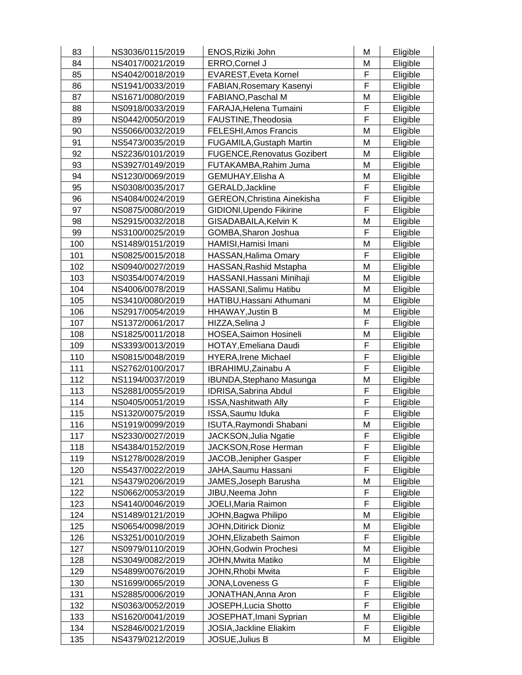| 83  | NS3036/0115/2019 | ENOS, Riziki John                  | M | Eligible |
|-----|------------------|------------------------------------|---|----------|
| 84  | NS4017/0021/2019 | ERRO, Cornel J                     | M | Eligible |
| 85  | NS4042/0018/2019 | EVAREST, Eveta Kornel              | F | Eligible |
| 86  | NS1941/0033/2019 | FABIAN, Rosemary Kasenyi           | F | Eligible |
| 87  | NS1671/0080/2019 | FABIANO, Paschal M                 | M | Eligible |
| 88  | NS0918/0033/2019 | FARAJA, Helena Tumaini             | F | Eligible |
| 89  | NS0442/0050/2019 | FAUSTINE, Theodosia                | F | Eligible |
| 90  | NS5066/0032/2019 | FELESHI, Amos Francis              | M | Eligible |
| 91  | NS5473/0035/2019 | FUGAMILA, Gustaph Martin           | M | Eligible |
| 92  | NS2236/0101/2019 | <b>FUGENCE, Renovatus Gozibert</b> | M | Eligible |
| 93  | NS3927/0149/2019 | FUTAKAMBA, Rahim Juma              | M | Eligible |
| 94  | NS1230/0069/2019 | GEMUHAY, Elisha A                  | M | Eligible |
| 95  | NS0308/0035/2017 | GERALD, Jackline                   | F | Eligible |
| 96  | NS4084/0024/2019 | <b>GEREON, Christina Ainekisha</b> | F | Eligible |
| 97  | NS0875/0080/2019 | GIDIONI, Upendo Fikirine           | F | Eligible |
| 98  | NS2915/0032/2018 | GISADABAILA, Kelvin K              | M | Eligible |
| 99  | NS3100/0025/2019 | GOMBA, Sharon Joshua               | F | Eligible |
| 100 | NS1489/0151/2019 | HAMISI, Hamisi Imani               | M | Eligible |
| 101 | NS0825/0015/2018 | HASSAN, Halima Omary               | F | Eligible |
| 102 | NS0940/0027/2019 | HASSAN, Rashid Mstapha             | M | Eligible |
| 103 | NS0354/0074/2019 | HASSANI, Hassani Minihaji          | M | Eligible |
| 104 | NS4006/0078/2019 | HASSANI, Salimu Hatibu             | M | Eligible |
| 105 | NS3410/0080/2019 | HATIBU, Hassani Athumani           | M | Eligible |
| 106 | NS2917/0054/2019 | HHAWAY, Justin B                   | М | Eligible |
| 107 | NS1372/0061/2017 | HIZZA, Selina J                    | F | Eligible |
| 108 | NS1825/0011/2018 | HOSEA, Saimon Hosineli             | M | Eligible |
| 109 | NS3393/0013/2019 | HOTAY, Emeliana Daudi              | F | Eligible |
| 110 | NS0815/0048/2019 | <b>HYERA, Irene Michael</b>        | F | Eligible |
| 111 | NS2762/0100/2017 | IBRAHIMU, Zainabu A                | F | Eligible |
| 112 | NS1194/0037/2019 | IBUNDA, Stephano Masunga           | M | Eligible |
| 113 | NS2881/0055/2019 | <b>IDRISA, Sabrina Abdul</b>       | F | Eligible |
| 114 | NS0405/0051/2019 | ISSA, Nashitwath Ally              | F | Eligible |
| 115 | NS1320/0075/2019 | ISSA, Saumu Iduka                  | F | Eligible |
| 116 | NS1919/0099/2019 | ISUTA, Raymondi Shabani            | M | Eligible |
| 117 | NS2330/0027/2019 | <b>JACKSON, Julia Ngatie</b>       | F | Eligible |
| 118 | NS4384/0152/2019 | <b>JACKSON, Rose Herman</b>        | F | Eligible |
| 119 | NS1278/0028/2019 | JACOB, Jenipher Gasper             | F | Eligible |
| 120 | NS5437/0022/2019 | JAHA, Saumu Hassani                | F | Eligible |
| 121 | NS4379/0206/2019 | JAMES, Joseph Barusha              | M | Eligible |
| 122 | NS0662/0053/2019 | JIBU, Neema John                   | F | Eligible |
| 123 | NS4140/0046/2019 | JOELI, Maria Raimon                | F | Eligible |
| 124 | NS1489/0121/2019 | JOHN, Bagwa Philipo                | M | Eligible |
| 125 | NS0654/0098/2019 | JOHN, Ditirick Dioniz              | M | Eligible |
| 126 | NS3251/0010/2019 | JOHN, Elizabeth Saimon             | F | Eligible |
| 127 | NS0979/0110/2019 | JOHN, Godwin Prochesi              | M | Eligible |
| 128 | NS3049/0082/2019 | JOHN, Mwita Matiko                 | M | Eligible |
| 129 | NS4899/0076/2019 | JOHN, Rhobi Mwita                  | F | Eligible |
| 130 | NS1699/0065/2019 | JONA, Loveness G                   | F | Eligible |
| 131 | NS2885/0006/2019 | JONATHAN, Anna Aron                | F | Eligible |
| 132 | NS0363/0052/2019 | JOSEPH, Lucia Shotto               | F | Eligible |
| 133 | NS1620/0041/2019 | JOSEPHAT, Imani Syprian            | M | Eligible |
| 134 | NS2846/0021/2019 | JOSIA, Jackline Eliakim            | F | Eligible |
| 135 | NS4379/0212/2019 | JOSUE, Julius B                    | M | Eligible |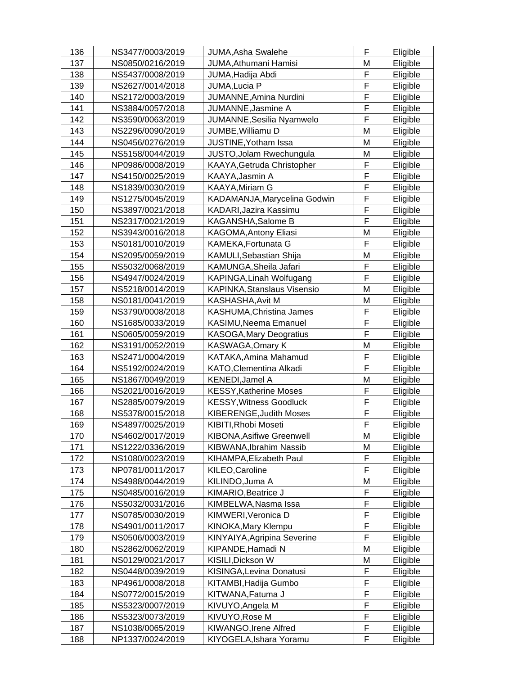| 136 | NS3477/0003/2019 | JUMA, Asha Swalehe               | F | Eligible |
|-----|------------------|----------------------------------|---|----------|
| 137 | NS0850/0216/2019 | JUMA, Athumani Hamisi            | M | Eligible |
| 138 | NS5437/0008/2019 | JUMA, Hadija Abdi                | F | Eligible |
| 139 | NS2627/0014/2018 | JUMA, Lucia P                    | F | Eligible |
| 140 | NS2172/0003/2019 | JUMANNE, Amina Nurdini           | F | Eligible |
| 141 | NS3884/0057/2018 | JUMANNE, Jasmine A               | F | Eligible |
| 142 | NS3590/0063/2019 | JUMANNE, Sesilia Nyamwelo        | F | Eligible |
| 143 | NS2296/0090/2019 | JUMBE, Williamu D                | M | Eligible |
| 144 | NS0456/0276/2019 | JUSTINE, Yotham Issa             | M | Eligible |
| 145 | NS5158/0044/2019 | JUSTO, Jolam Rwechungula         | M | Eligible |
| 146 | NP0986/0008/2019 | KAAYA, Getruda Christopher       | F | Eligible |
| 147 | NS4150/0025/2019 | KAAYA, Jasmin A                  | F | Eligible |
| 148 | NS1839/0030/2019 | <b>KAAYA, Miriam G</b>           | F | Eligible |
| 149 | NS1275/0045/2019 | KADAMANJA, Marycelina Godwin     | F | Eligible |
| 150 | NS3897/0021/2018 | KADARI, Jazira Kassimu           | F | Eligible |
| 151 | NS2317/0021/2019 | KAGANSHA, Salome B               | F | Eligible |
| 152 | NS3943/0016/2018 | KAGOMA, Antony Eliasi            | M | Eligible |
| 153 | NS0181/0010/2019 | KAMEKA, Fortunata G              | F | Eligible |
| 154 | NS2095/0059/2019 | KAMULI, Sebastian Shija          | M | Eligible |
| 155 | NS5032/0068/2019 | KAMUNGA, Sheila Jafari           | F | Eligible |
| 156 | NS4947/0024/2019 | KAPINGA, Linah Wolfugang         | F | Eligible |
| 157 | NS5218/0014/2019 | KAPINKA, Stanslaus Visensio      | M | Eligible |
| 158 | NS0181/0041/2019 | KASHASHA, Avit M                 | M | Eligible |
| 159 | NS3790/0008/2018 | KASHUMA, Christina James         | F | Eligible |
| 160 | NS1685/0033/2019 | KASIMU, Neema Emanuel            | F | Eligible |
| 161 | NS0605/0059/2019 | <b>KASOGA, Mary Deogratius</b>   | F | Eligible |
| 162 | NS3191/0052/2019 | KASWAGA, Omary K                 | M | Eligible |
| 163 | NS2471/0004/2019 | KATAKA, Amina Mahamud            | F | Eligible |
| 164 | NS5192/0024/2019 | KATO, Clementina Alkadi          | F | Eligible |
| 165 | NS1867/0049/2019 | KENEDI, Jamel A                  | M | Eligible |
| 166 | NS2021/0016/2019 | <b>KESSY, Katherine Moses</b>    | F | Eligible |
| 167 | NS2885/0079/2019 | <b>KESSY, Witness Goodluck</b>   | F | Eligible |
| 168 | NS5378/0015/2018 | KIBERENGE, Judith Moses          | F | Eligible |
| 169 | NS4897/0025/2019 | KIBITI, Rhobi Moseti             | F | Eligible |
| 170 | NS4602/0017/2019 | <b>KIBONA, Asifiwe Greenwell</b> | M | Eligible |
| 171 | NS1222/0336/2019 | KIBWANA, Ibrahim Nassib          | M | Eligible |
| 172 | NS1080/0023/2019 | KIHAMPA, Elizabeth Paul          | F | Eligible |
| 173 | NP0781/0011/2017 | KILEO, Caroline                  | F | Eligible |
| 174 | NS4988/0044/2019 | KILINDO, Juma A                  | M | Eligible |
| 175 | NS0485/0016/2019 | KIMARIO, Beatrice J              | F | Eligible |
| 176 | NS5032/0031/2016 | KIMBELWA, Nasma Issa             | F | Eligible |
| 177 | NS0785/0030/2019 | KIMWERI, Veronica D              | F | Eligible |
| 178 | NS4901/0011/2017 | <b>KINOKA, Mary Klempu</b>       | F | Eligible |
| 179 | NS0506/0003/2019 | KINYAIYA, Agripina Severine      | F | Eligible |
| 180 | NS2862/0062/2019 | KIPANDE, Hamadi N                | M | Eligible |
| 181 | NS0129/0021/2017 | KISILI, Dickson W                | M | Eligible |
| 182 | NS0448/0039/2019 | KISINGA, Levina Donatusi         | F | Eligible |
| 183 | NP4961/0008/2018 | KITAMBI, Hadija Gumbo            | F | Eligible |
| 184 | NS0772/0015/2019 | KITWANA, Fatuma J                | F | Eligible |
| 185 | NS5323/0007/2019 | KIVUYO, Angela M                 | F | Eligible |
| 186 | NS5323/0073/2019 | KIVUYO, Rose M                   | F | Eligible |
| 187 | NS1038/0065/2019 | KIWANGO, Irene Alfred            | F | Eligible |
| 188 | NP1337/0024/2019 | KIYOGELA, Ishara Yoramu          | F | Eligible |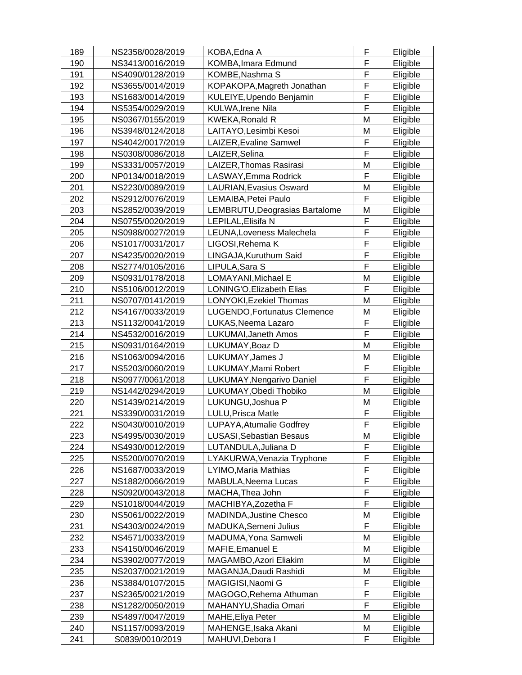| 189 | NS2358/0028/2019 | KOBA, Edna A                    | F           | Eligible             |
|-----|------------------|---------------------------------|-------------|----------------------|
| 190 | NS3413/0016/2019 | KOMBA, Imara Edmund             | F           | Eligible             |
| 191 | NS4090/0128/2019 | KOMBE, Nashma S                 | F           | Eligible             |
| 192 | NS3655/0014/2019 | KOPAKOPA, Magreth Jonathan      | F           | Eligible             |
| 193 | NS1683/0014/2019 | KULEIYE, Upendo Benjamin        | F           | Eligible             |
| 194 | NS5354/0029/2019 | <b>KULWA, Irene Nila</b>        | F           | Eligible             |
| 195 | NS0367/0155/2019 | <b>KWEKA, Ronald R</b>          | M           | Eligible             |
| 196 | NS3948/0124/2018 | LAITAYO, Lesimbi Kesoi          | M           | Eligible             |
| 197 | NS4042/0017/2019 | LAIZER, Evaline Samwel          | F           | Eligible             |
| 198 | NS0308/0086/2018 | LAIZER, Selina                  | F           | Eligible             |
| 199 | NS3331/0057/2019 | LAIZER, Thomas Rasirasi         | M           | Eligible             |
| 200 | NP0134/0018/2019 | LASWAY, Emma Rodrick            | F           | Eligible             |
| 201 | NS2230/0089/2019 | LAURIAN, Evasius Osward         | M           | Eligible             |
| 202 | NS2912/0076/2019 | LEMAIBA, Petei Paulo            | F           | Eligible             |
| 203 | NS2852/0039/2019 | LEMBRUTU, Deograsias Bartalome  | M           | Eligible             |
| 204 | NS0755/0020/2019 | LEPILAL, Elisifa N              | F           | Eligible             |
| 205 | NS0988/0027/2019 | LEUNA, Loveness Malechela       | F           | Eligible             |
| 206 | NS1017/0031/2017 | LIGOSI, Rehema K                | F           | Eligible             |
| 207 | NS4235/0020/2019 | LINGAJA, Kuruthum Said          | F           | Eligible             |
| 208 | NS2774/0105/2016 | LIPULA, Sara S                  | F           | Eligible             |
| 209 | NS0931/0178/2018 | LOMAYANI, Michael E             | M           | Eligible             |
| 210 | NS5106/0012/2019 | LONING'O, Elizabeth Elias       | F           | Eligible             |
| 211 | NS0707/0141/2019 | LONYOKI, Ezekiel Thomas         | M           | Eligible             |
| 212 | NS4167/0033/2019 | LUGENDO, Fortunatus Clemence    | M           | Eligible             |
| 213 | NS1132/0041/2019 | LUKAS, Neema Lazaro             | F           | Eligible             |
| 214 | NS4532/0016/2019 | LUKUMAI, Janeth Amos            | F           | Eligible             |
| 215 | NS0931/0164/2019 | LUKUMAY, Boaz D                 | M           | Eligible             |
| 216 | NS1063/0094/2016 | LUKUMAY, James J                | M           | Eligible             |
| 217 | NS5203/0060/2019 | LUKUMAY, Mami Robert            | F           | Eligible             |
| 218 | NS0977/0061/2018 | LUKUMAY, Nengarivo Daniel       | F           | Eligible             |
| 219 | NS1442/0294/2019 | LUKUMAY, Obedi Thobiko          | M           | Eligible             |
| 220 | NS1439/0214/2019 | LUKUNGU, Joshua P               | M           | Eligible             |
| 221 | NS3390/0031/2019 | LULU, Prisca Matle              | F           | Eligible             |
| 222 | NS0430/0010/2019 | LUPAYA, Atumalie Godfrey        | F           | Eligible             |
| 223 | NS4995/0030/2019 | <b>LUSASI, Sebastian Besaus</b> | M           | Eligible             |
| 224 | NS4930/0012/2019 | LUTANDULA, Juliana D            | F           | Eligible             |
| 225 | NS5200/0070/2019 | LYAKURWA, Venazia Tryphone      | F           | Eligible             |
| 226 | NS1687/0033/2019 | LYIMO, Maria Mathias            | F           | Eligible             |
| 227 | NS1882/0066/2019 | MABULA, Neema Lucas             | F           | Eligible             |
| 228 | NS0920/0043/2018 | MACHA, Thea John                | F           | Eligible             |
| 229 | NS1018/0044/2019 | MACHIBYA, Zozetha F             | F           | Eligible             |
| 230 | NS5061/0022/2019 | <b>MADINDA, Justine Chesco</b>  | M           | Eligible             |
| 231 | NS4303/0024/2019 | MADUKA, Semeni Julius           | F           | Eligible             |
| 232 | NS4571/0033/2019 | MADUMA, Yona Samweli            | M           | Eligible             |
| 233 | NS4150/0046/2019 | MAFIE, Emanuel E                | M           | Eligible             |
| 234 | NS3902/0077/2019 | MAGAMBO, Azori Eliakim          | M           | Eligible             |
| 235 | NS2037/0021/2019 | MAGANJA, Daudi Rashidi          | M           | Eligible             |
| 236 | NS3884/0107/2015 | MAGIGISI, Naomi G               | F           |                      |
| 237 | NS2365/0021/2019 | MAGOGO, Rehema Athuman          | $\mathsf F$ | Eligible<br>Eligible |
| 238 | NS1282/0050/2019 | MAHANYU, Shadia Omari           | F           |                      |
| 239 | NS4897/0047/2019 | MAHE, Eliya Peter               | M           | Eligible<br>Eligible |
| 240 | NS1157/0093/2019 | MAHENGE, Isaka Akani            | М           | Eligible             |
| 241 | S0839/0010/2019  | MAHUVI, Debora I                | F           | Eligible             |
|     |                  |                                 |             |                      |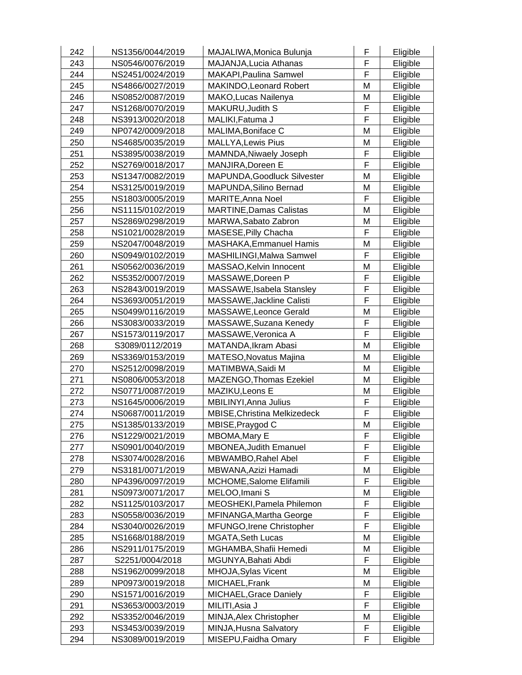| 242 | NS1356/0044/2019 | MAJALIWA, Monica Bulunja       | F           | Eligible |
|-----|------------------|--------------------------------|-------------|----------|
| 243 | NS0546/0076/2019 | MAJANJA, Lucia Athanas         | F           | Eligible |
| 244 | NS2451/0024/2019 | MAKAPI, Paulina Samwel         | F           | Eligible |
| 245 | NS4866/0027/2019 | MAKINDO, Leonard Robert        | M           | Eligible |
| 246 | NS0852/0087/2019 | MAKO, Lucas Nailenya           | M           | Eligible |
| 247 | NS1268/0070/2019 | MAKURU, Judith S               | F           | Eligible |
| 248 | NS3913/0020/2018 | MALIKI, Fatuma J               | F           | Eligible |
| 249 | NP0742/0009/2018 | MALIMA, Boniface C             | M           | Eligible |
| 250 | NS4685/0035/2019 | <b>MALLYA, Lewis Pius</b>      | M           | Eligible |
| 251 | NS3895/0038/2019 | MAMNDA, Niwaely Joseph         | F           | Eligible |
| 252 | NS2769/0018/2017 | MANJIRA, Doreen E              | $\mathsf F$ | Eligible |
| 253 | NS1347/0082/2019 | MAPUNDA, Goodluck Silvester    | M           | Eligible |
| 254 | NS3125/0019/2019 | MAPUNDA, Silino Bernad         | M           | Eligible |
| 255 | NS1803/0005/2019 | MARITE, Anna Noel              | F           | Eligible |
| 256 | NS1115/0102/2019 | <b>MARTINE, Damas Calistas</b> | M           | Eligible |
| 257 | NS2869/0298/2019 | MARWA, Sabato Zabron           | M           | Eligible |
| 258 | NS1021/0028/2019 | MASESE, Pilly Chacha           | F           | Eligible |
| 259 | NS2047/0048/2019 | MASHAKA, Emmanuel Hamis        | M           | Eligible |
| 260 | NS0949/0102/2019 | MASHILINGI, Malwa Samwel       | F           | Eligible |
| 261 | NS0562/0036/2019 | MASSAO, Kelvin Innocent        | M           | Eligible |
| 262 | NS5352/0007/2019 | MASSAWE, Doreen P              | F           | Eligible |
| 263 | NS2843/0019/2019 | MASSAWE, Isabela Stansley      | F           | Eligible |
| 264 | NS3693/0051/2019 | MASSAWE, Jackline Calisti      | F           | Eligible |
| 265 | NS0499/0116/2019 | MASSAWE, Leonce Gerald         | M           | Eligible |
| 266 | NS3083/0033/2019 | MASSAWE, Suzana Kenedy         | F           | Eligible |
| 267 | NS1573/0119/2017 | MASSAWE, Veronica A            | F           | Eligible |
| 268 | S3089/0112/2019  | MATANDA, Ikram Abasi           | M           | Eligible |
| 269 | NS3369/0153/2019 | MATESO, Novatus Majina         | M           | Eligible |
| 270 | NS2512/0098/2019 | MATIMBWA, Saidi M              | M           | Eligible |
| 271 | NS0806/0053/2018 | MAZENGO, Thomas Ezekiel        | M           | Eligible |
| 272 | NS0771/0087/2019 | MAZIKU, Leons E                | M           | Eligible |
| 273 | NS1645/0006/2019 | MBILINYI, Anna Julius          | F           | Eligible |
| 274 | NS0687/0011/2019 | MBISE, Christina Melkizedeck   | F           | Eligible |
| 275 | NS1385/0133/2019 | MBISE, Praygod C               | M           | Eligible |
| 276 | NS1229/0021/2019 | <b>MBOMA, Mary E</b>           | F           | Eligible |
| 277 | NS0901/0040/2019 | <b>MBONEA, Judith Emanuel</b>  | F           | Eligible |
| 278 | NS3074/0028/2016 | MBWAMBO, Rahel Abel            | F           | Eligible |
| 279 | NS3181/0071/2019 | MBWANA, Azizi Hamadi           | Μ           | Eligible |
| 280 | NP4396/0097/2019 | MCHOME, Salome Elifamili       | F           | Eligible |
| 281 | NS0973/0071/2017 | MELOO, Imani S                 | M           | Eligible |
| 282 | NS1125/0103/2017 | MEOSHEKI, Pamela Philemon      | F           | Eligible |
| 283 | NS0558/0036/2019 | MFINANGA, Martha George        | F           | Eligible |
| 284 | NS3040/0026/2019 | MFUNGO, Irene Christopher      | F           | Eligible |
| 285 | NS1668/0188/2019 | <b>MGATA, Seth Lucas</b>       | M           | Eligible |
| 286 | NS2911/0175/2019 | MGHAMBA, Shafii Hemedi         | M           | Eligible |
| 287 | S2251/0004/2018  | MGUNYA, Bahati Abdi            | F           | Eligible |
| 288 | NS1962/0099/2018 | MHOJA, Sylas Vicent            | M           | Eligible |
| 289 | NP0973/0019/2018 | MICHAEL, Frank                 | M           | Eligible |
| 290 | NS1571/0016/2019 | MICHAEL, Grace Daniely         | F           | Eligible |
| 291 | NS3653/0003/2019 | MILITI, Asia J                 | F           | Eligible |
| 292 | NS3352/0046/2019 | MINJA, Alex Christopher        | M           | Eligible |
| 293 | NS3453/0039/2019 | MINJA, Husna Salvatory         | F           | Eligible |
| 294 | NS3089/0019/2019 | MISEPU, Faidha Omary           | F           | Eligible |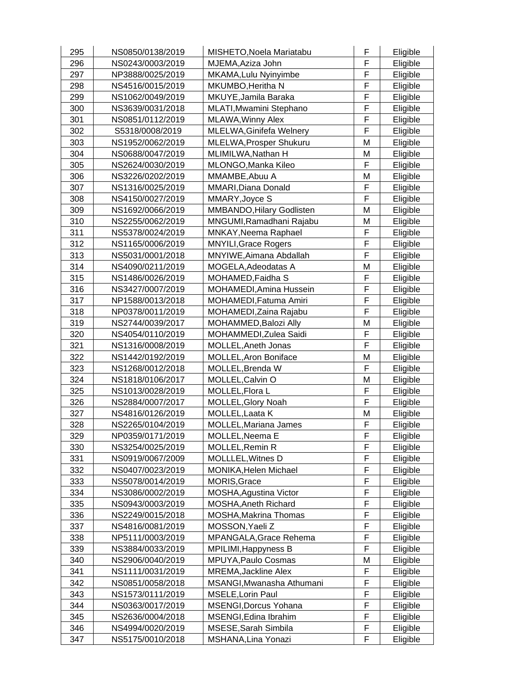| 295<br>MISHETO, Noela Mariatabu<br>NS0850/0138/2019     | F | Eligible |
|---------------------------------------------------------|---|----------|
| 296<br>MJEMA, Aziza John<br>NS0243/0003/2019            | F | Eligible |
| 297<br>MKAMA, Lulu Nyinyimbe<br>NP3888/0025/2019        | F | Eligible |
| 298<br>NS4516/0015/2019<br>MKUMBO, Heritha N            | F | Eligible |
| 299<br>MKUYE, Jamila Baraka<br>NS1062/0049/2019         | F | Eligible |
| 300<br>NS3639/0031/2018<br>MLATI, Mwamini Stephano      | F | Eligible |
| 301<br>NS0851/0112/2019<br>MLAWA, Winny Alex            | F | Eligible |
| 302<br>MLELWA, Ginifefa Welnery<br>S5318/0008/2019      | F | Eligible |
| 303<br>MLELWA, Prosper Shukuru<br>NS1952/0062/2019      | M | Eligible |
| 304<br>NS0688/0047/2019<br>MLIMILWA, Nathan H           | M | Eligible |
| 305<br>MLONGO, Manka Kileo<br>NS2624/0030/2019          | F | Eligible |
| 306<br>MMAMBE, Abuu A<br>NS3226/0202/2019               | M | Eligible |
| 307<br>MMARI, Diana Donald<br>NS1316/0025/2019          | F | Eligible |
| 308<br>NS4150/0027/2019<br>MMARY, Joyce S               | F | Eligible |
| 309<br>NS1692/0066/2019<br>MMBANDO, Hilary Godlisten    | M | Eligible |
| 310<br>NS2255/0062/2019<br>MNGUMI, Ramadhani Rajabu     | M | Eligible |
| 311<br>NS5378/0024/2019<br>MNKAY, Neema Raphael         | F | Eligible |
| 312<br>NS1165/0006/2019<br><b>MNYILI, Grace Rogers</b>  | F | Eligible |
| 313<br>NS5031/0001/2018<br>MNYIWE, Aimana Abdallah      | F | Eligible |
| 314<br>NS4090/0211/2019<br>MOGELA, Adeodatas A          | M | Eligible |
| 315<br>NS1486/0026/2019<br>MOHAMED, Faidha S            | F | Eligible |
| 316<br>NS3427/0007/2019<br>MOHAMEDI, Amina Hussein      | F | Eligible |
| 317<br>NP1588/0013/2018<br>MOHAMEDI, Fatuma Amiri       | F | Eligible |
| 318<br>MOHAMEDI, Zaina Rajabu<br>NP0378/0011/2019       | F | Eligible |
| 319<br>NS2744/0039/2017<br>MOHAMMED, Balozi Ally        | M | Eligible |
| 320<br>NS4054/0110/2019<br>MOHAMMEDI, Zulea Saidi       | F | Eligible |
| 321<br>NS1316/0008/2019<br>MOLLEL, Aneth Jonas          | F | Eligible |
| 322<br>MOLLEL, Aron Boniface<br>NS1442/0192/2019        | M | Eligible |
| 323<br>MOLLEL, Brenda W<br>NS1268/0012/2018             | F | Eligible |
| 324<br>MOLLEL, Calvin O<br>NS1818/0106/2017             | M | Eligible |
| 325<br>NS1013/0028/2019<br>MOLLEL, Flora L              | F | Eligible |
| 326<br><b>MOLLEL, Glory Noah</b><br>NS2884/0007/2017    | F | Eligible |
| MOLLEL, Laata K<br>327<br>NS4816/0126/2019              | M | Eligible |
| 328<br>NS2265/0104/2019<br><b>MOLLEL, Mariana James</b> | F | Eligible |
| 329<br>NP0359/0171/2019<br>MOLLEL, Neema E              | F | Eligible |
| 330<br><b>MOLLEL, Remin R</b><br>NS3254/0025/2019       | F | Eligible |
| 331<br>MOLLLEL, Witnes D<br>NS0919/0067/2009            | F | Eligible |
| 332<br>NS0407/0023/2019<br>MONIKA, Helen Michael        | F | Eligible |
| 333<br>NS5078/0014/2019<br>MORIS, Grace                 | F | Eligible |
| 334<br>NS3086/0002/2019<br>MOSHA, Agustina Victor       | F | Eligible |
| 335<br>NS0943/0003/2019<br>MOSHA, Aneth Richard         | F | Eligible |
| 336<br>NS2249/0015/2018<br><b>MOSHA, Makrina Thomas</b> | F | Eligible |
| 337<br>NS4816/0081/2019<br>MOSSON, Yaeli Z              | F | Eligible |
| 338<br>NP5111/0003/2019<br>MPANGALA, Grace Rehema       | F | Eligible |
| 339<br>NS3884/0033/2019<br>MPILIMI, Happyness B         | F | Eligible |
| 340<br>NS2906/0040/2019<br>MPUYA, Paulo Cosmas          | M | Eligible |
| 341<br>NS1111/0031/2019<br><b>MREMA, Jackline Alex</b>  | F | Eligible |
| 342<br>NS0851/0058/2018<br>MSANGI, Mwanasha Athumani    | F | Eligible |
| 343<br>NS1573/0111/2019<br><b>MSELE, Lorin Paul</b>     | F | Eligible |
| 344<br>NS0363/0017/2019<br>MSENGI, Dorcus Yohana        | F | Eligible |
| 345<br>NS2636/0004/2018<br>MSENGI, Edina Ibrahim        | F | Eligible |
| 346<br>MSESE, Sarah Simbila<br>NS4994/0020/2019         | F | Eligible |
| 347<br>NS5175/0010/2018<br>MSHANA, Lina Yonazi          | F | Eligible |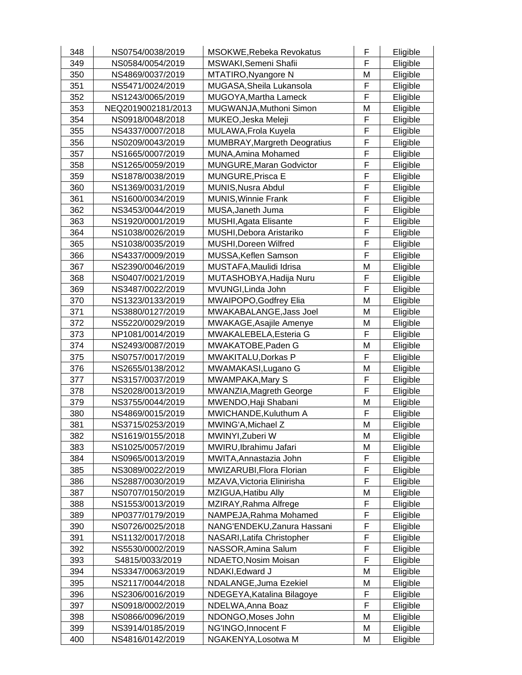| 348 | NS0754/0038/2019   | <b>MSOKWE, Rebeka Revokatus</b> | F | Eligible |
|-----|--------------------|---------------------------------|---|----------|
| 349 | NS0584/0054/2019   | MSWAKI, Semeni Shafii           | F | Eligible |
| 350 | NS4869/0037/2019   | MTATIRO, Nyangore N             | M | Eligible |
| 351 | NS5471/0024/2019   | MUGASA, Sheila Lukansola        | F | Eligible |
| 352 | NS1243/0065/2019   | MUGOYA, Martha Lameck           | F | Eligible |
| 353 | NEQ2019002181/2013 | MUGWANJA, Muthoni Simon         | M | Eligible |
| 354 | NS0918/0048/2018   | MUKEO, Jeska Meleji             | F | Eligible |
| 355 | NS4337/0007/2018   | MULAWA, Frola Kuyela            | F | Eligible |
| 356 | NS0209/0043/2019   | MUMBRAY, Margreth Deogratius    | F | Eligible |
| 357 | NS1665/0007/2019   | MUNA, Amina Mohamed             | F | Eligible |
| 358 | NS1265/0059/2019   | <b>MUNGURE, Maran Godvictor</b> | F | Eligible |
| 359 | NS1878/0038/2019   | <b>MUNGURE, Prisca E</b>        | F | Eligible |
| 360 | NS1369/0031/2019   | MUNIS, Nusra Abdul              | F | Eligible |
| 361 | NS1600/0034/2019   | <b>MUNIS, Winnie Frank</b>      | F | Eligible |
| 362 | NS3453/0044/2019   | MUSA, Janeth Juma               | F | Eligible |
| 363 | NS1920/0001/2019   | MUSHI, Agata Elisante           | F | Eligible |
| 364 | NS1038/0026/2019   | MUSHI, Debora Aristariko        | F | Eligible |
| 365 | NS1038/0035/2019   | MUSHI, Doreen Wilfred           | F | Eligible |
| 366 | NS4337/0009/2019   | MUSSA, Keflen Samson            | F | Eligible |
| 367 | NS2390/0046/2019   | MUSTAFA, Maulidi Idrisa         | M | Eligible |
| 368 | NS0407/0021/2019   | MUTASHOBYA, Hadija Nuru         | F | Eligible |
| 369 | NS3487/0022/2019   | MVUNGI, Linda John              | F | Eligible |
| 370 | NS1323/0133/2019   | MWAIPOPO, Godfrey Elia          | M | Eligible |
| 371 | NS3880/0127/2019   | MWAKABALANGE, Jass Joel         | M | Eligible |
| 372 | NS5220/0029/2019   | MWAKAGE, Asajile Amenye         | M | Eligible |
| 373 | NP1081/0014/2019   | MWAKALEBELA, Esteria G          | F | Eligible |
| 374 | NS2493/0087/2019   | MWAKATOBE, Paden G              | M | Eligible |
| 375 | NS0757/0017/2019   | MWAKITALU, Dorkas P             | F | Eligible |
| 376 | NS2655/0138/2012   | MWAMAKASI, Lugano G             | M | Eligible |
| 377 | NS3157/0037/2019   | MWAMPAKA, Mary S                | F | Eligible |
| 378 | NS2028/0013/2019   | MWANZIA, Magreth George         | F | Eligible |
| 379 | NS3755/0044/2019   | MWENDO, Haji Shabani            | M | Eligible |
| 380 | NS4869/0015/2019   | MWICHANDE, Kuluthum A           | F | Eligible |
| 381 | NS3715/0253/2019   | MWING'A, Michael Z              | M | Eligible |
| 382 | NS1619/0155/2018   | MWINYI, Zuberi W                | M | Eligible |
| 383 | NS1025/0057/2019   | MWIRU, Ibrahimu Jafari          | M | Eligible |
| 384 | NS0965/0013/2019   | MWITA, Annastazia John          | F | Eligible |
| 385 | NS3089/0022/2019   | MWIZARUBI, Flora Florian        | F | Eligible |
| 386 | NS2887/0030/2019   | MZAVA, Victoria Elinirisha      | F | Eligible |
| 387 | NS0707/0150/2019   | MZIGUA, Hatibu Ally             | M | Eligible |
| 388 | NS1553/0013/2019   | MZIRAY, Rahma Alfrege           | F | Eligible |
| 389 | NP0377/0179/2019   | NAMPEJA, Rahma Mohamed          | F | Eligible |
| 390 | NS0726/0025/2018   | NANG'ENDEKU, Zanura Hassani     | F | Eligible |
| 391 | NS1132/0017/2018   | NASARI, Latifa Christopher      | F | Eligible |
| 392 | NS5530/0002/2019   | NASSOR, Amina Salum             | F | Eligible |
| 393 | S4815/0033/2019    | NDAETO, Nosim Moisan            | F | Eligible |
| 394 | NS3347/0063/2019   | NDAKI, Edward J                 | M | Eligible |
| 395 | NS2117/0044/2018   | NDALANGE, Juma Ezekiel          | M | Eligible |
| 396 | NS2306/0016/2019   | NDEGEYA, Katalina Bilagoye      | F | Eligible |
| 397 | NS0918/0002/2019   | NDELWA, Anna Boaz               | F | Eligible |
| 398 | NS0866/0096/2019   | NDONGO, Moses John              | M | Eligible |
| 399 | NS3914/0185/2019   | NG'INGO, Innocent F             | M | Eligible |
| 400 | NS4816/0142/2019   | NGAKENYA, Losotwa M             | M | Eligible |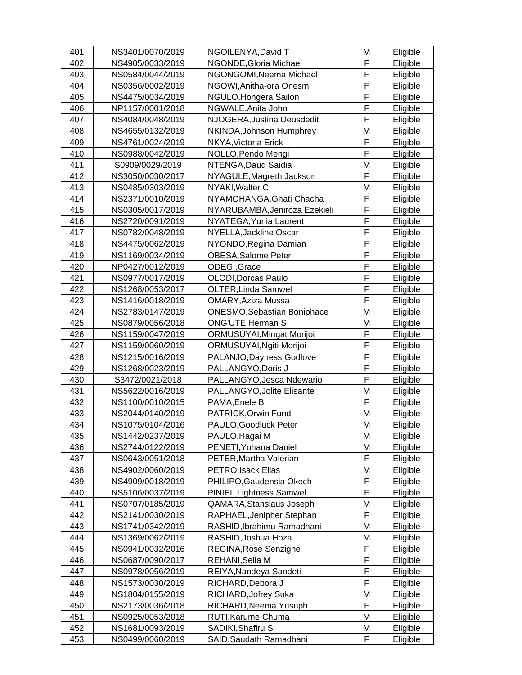| 401 | NS3401/0070/2019 | NGOILENYA, David T                 | M           | Eligible |
|-----|------------------|------------------------------------|-------------|----------|
| 402 | NS4905/0033/2019 | NGONDE, Gloria Michael             | F           | Eligible |
| 403 | NS0584/0044/2019 | NGONGOMI, Neema Michael            | F           | Eligible |
| 404 | NS0356/0002/2019 | NGOWI, Anitha-ora Onesmi           | F           | Eligible |
| 405 | NS4475/0034/2019 | NGULO, Hongera Sailon              | F           | Eligible |
| 406 | NP1157/0001/2018 | NGWALE, Anita John                 | F           | Eligible |
| 407 | NS4084/0048/2019 | NJOGERA, Justina Deusdedit         | F           | Eligible |
| 408 | NS4655/0132/2019 | NKINDA, Johnson Humphrey           | M           | Eligible |
| 409 | NS4761/0024/2019 | NKYA, Victoria Erick               | F           | Eligible |
| 410 | NS0988/0042/2019 | NOLLO, Pendo Mengi                 | F           | Eligible |
| 411 | S0909/0029/2019  | NTENGA, Daud Saidia                | M           | Eligible |
| 412 | NS3050/0030/2017 | NYAGULE, Magreth Jackson           | F           | Eligible |
| 413 | NS0485/0303/2019 | NYAKI, Walter C                    | M           | Eligible |
| 414 | NS2371/0010/2019 | NYAMOHANGA, Ghati Chacha           | F           | Eligible |
| 415 | NS0305/0017/2019 | NYARUBAMBA, Jeniroza Ezekieli      | F           | Eligible |
| 416 | NS2720/0091/2019 | NYATEGA, Yunia Laurent             | $\mathsf F$ | Eligible |
| 417 | NS0782/0048/2019 | NYELLA, Jackline Oscar             | F           | Eligible |
| 418 | NS4475/0062/2019 | NYONDO, Regina Damian              | F           | Eligible |
| 419 | NS1169/0034/2019 | OBESA, Salome Peter                | F           | Eligible |
| 420 | NP0427/0012/2019 | ODEGI, Grace                       | F           | Eligible |
| 421 | NS0977/0017/2019 | OLODI, Dorcas Paulo                | F           | Eligible |
| 422 | NS1268/0053/2017 | <b>OLTER, Linda Samwel</b>         | F           | Eligible |
| 423 | NS1416/0018/2019 | <b>OMARY, Aziza Mussa</b>          | F           | Eligible |
| 424 | NS2783/0147/2019 | <b>ONESMO, Sebastian Boniphace</b> | M           | Eligible |
| 425 | NS0879/0056/2018 | ONG'UTE, Herman S                  | M           | Eligible |
| 426 | NS1159/0047/2019 | <b>ORMUSUYAI, Mingat Morijoi</b>   | F           | Eligible |
| 427 | NS1159/0060/2019 | ORMUSUYAI, Ngiti Morijoi           | F           | Eligible |
| 428 | NS1215/0016/2019 | PALANJO, Dayness Godlove           | F           | Eligible |
| 429 | NS1268/0023/2019 | PALLANGYO, Doris J                 | F           | Eligible |
| 430 | S3472/0021/2018  | PALLANGYO, Jesca Ndewario          | F           | Eligible |
| 431 | NS5622/0016/2019 | PALLANGYO, Jolite Elisante         | M           | Eligible |
| 432 | NS1100/0010/2015 | PAMA, Enele B                      | F           | Eligible |
| 433 | NS2044/0140/2019 | PATRICK, Orwin Fundi               | M           | Eligible |
| 434 | NS1075/0104/2016 | PAULO, Goodluck Peter              | M           | Eligible |
| 435 | NS1442/0237/2019 | PAULO, Hagai M                     | M           | Eligible |
| 436 | NS2744/0122/2019 | PENETI, Yohana Daniel              | M           | Eligible |
| 437 | NS0643/0051/2018 | PETER, Martha Valerian             | F           | Eligible |
| 438 | NS4902/0060/2019 | PETRO, Isack Elias                 | Μ           | Eligible |
| 439 | NS4909/0018/2019 | PHILIPO, Gaudensia Okech           | F           | Eligible |
| 440 | NS5106/0037/2019 | PINIEL, Lightness Samwel           | F           | Eligible |
| 441 | NS0707/0185/2019 | QAMARA, Stanslaus Joseph           | M           | Eligible |
| 442 | NS2141/0030/2019 | RAPHAEL, Jenipher Stephan          | F           | Eligible |
| 443 | NS1741/0342/2019 | RASHID, Ibrahimu Ramadhani         | M           | Eligible |
| 444 | NS1369/0062/2019 | RASHID, Joshua Hoza                | M           | Eligible |
| 445 | NS0941/0032/2016 | <b>REGINA, Rose Senzighe</b>       | F           | Eligible |
| 446 | NS0687/0090/2017 | REHANI, Selia M                    | F           | Eligible |
| 447 | NS0978/0056/2019 | REIYA, Nandeya Sandeti             | F           | Eligible |
| 448 | NS1573/0030/2019 | RICHARD, Debora J                  | F           | Eligible |
| 449 | NS1804/0155/2019 | RICHARD, Jofrey Suka               | M           | Eligible |
| 450 | NS2173/0036/2018 | RICHARD, Neema Yusuph              | F           | Eligible |
| 451 | NS0925/0053/2018 | RUTI, Karume Chuma                 | M           | Eligible |
| 452 | NS1681/0093/2019 | SADIKI, Shafiru S                  | M           | Eligible |
| 453 | NS0499/0060/2019 | SAID, Saudath Ramadhani            | F           | Eligible |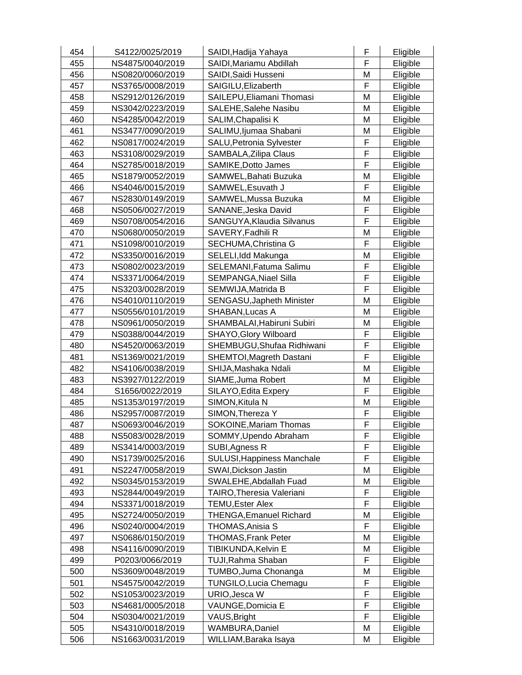| 454 | S4122/0025/2019  | SAIDI, Hadija Yahaya             | F | Eligible |
|-----|------------------|----------------------------------|---|----------|
| 455 | NS4875/0040/2019 | SAIDI, Mariamu Abdillah          | F | Eligible |
| 456 | NS0820/0060/2019 | SAIDI, Saidi Husseni             | M | Eligible |
| 457 | NS3765/0008/2019 | SAIGILU, Elizaberth              | F | Eligible |
| 458 | NS2912/0126/2019 | SAILEPU, Eliamani Thomasi        | M | Eligible |
| 459 | NS3042/0223/2019 | SALEHE, Salehe Nasibu            | M | Eligible |
| 460 | NS4285/0042/2019 | SALIM, Chapalisi K               | M | Eligible |
| 461 | NS3477/0090/2019 | SALIMU, Ijumaa Shabani           | M | Eligible |
| 462 | NS0817/0024/2019 | SALU, Petronia Sylvester         | F | Eligible |
| 463 | NS3108/0029/2019 | SAMBALA, Zilipa Claus            | F | Eligible |
| 464 | NS2785/0018/2019 | <b>SAMIKE, Dotto James</b>       | F | Eligible |
| 465 | NS1879/0052/2019 | SAMWEL, Bahati Buzuka            | M | Eligible |
| 466 | NS4046/0015/2019 | SAMWEL, Esuvath J                | F | Eligible |
| 467 | NS2830/0149/2019 | SAMWEL, Mussa Buzuka             | Μ | Eligible |
| 468 | NS0506/0027/2019 | SANANE, Jeska David              | F | Eligible |
| 469 | NS0708/0054/2016 | SANGUYA, Klaudia Silvanus        | F | Eligible |
| 470 | NS0680/0050/2019 | SAVERY, Fadhili R                | M | Eligible |
| 471 | NS1098/0010/2019 | SECHUMA, Christina G             | F | Eligible |
| 472 | NS3350/0016/2019 | SELELI, Idd Makunga              | M | Eligible |
| 473 | NS0802/0023/2019 | SELEMANI, Fatuma Salimu          | F | Eligible |
| 474 | NS3371/0064/2019 | <b>SEMPANGA, Niael Silla</b>     | F | Eligible |
| 475 | NS3203/0028/2019 | SEMWIJA, Matrida B               | F | Eligible |
| 476 | NS4010/0110/2019 | SENGASU, Japheth Minister        | M | Eligible |
| 477 | NS0556/0101/2019 | SHABAN, Lucas A                  | M | Eligible |
| 478 | NS0961/0050/2019 | SHAMBALAI, Habiruni Subiri       | M | Eligible |
| 479 | NS0388/0044/2019 | <b>SHAYO, Glory Wilboard</b>     | F | Eligible |
| 480 | NS4520/0063/2019 | SHEMBUGU, Shufaa Ridhiwani       | F | Eligible |
| 481 | NS1369/0021/2019 | SHEMTOI, Magreth Dastani         | F | Eligible |
| 482 | NS4106/0038/2019 | SHIJA, Mashaka Ndali             | M | Eligible |
| 483 | NS3927/0122/2019 | SIAME, Juma Robert               | M | Eligible |
| 484 | S1656/0022/2019  | SILAYO, Edita Expery             | F | Eligible |
| 485 | NS1353/0197/2019 | SIMON, Kitula N                  | M | Eligible |
| 486 | NS2957/0087/2019 | SIMON, Thereza Y                 | F | Eligible |
| 487 | NS0693/0046/2019 | <b>SOKOINE, Mariam Thomas</b>    | F | Eligible |
| 488 | NS5083/0028/2019 | SOMMY, Upendo Abraham            | F | Eligible |
| 489 | NS3414/0003/2019 | SUBI, Agness R                   | F | Eligible |
| 490 | NS1739/0025/2016 | SULUSI, Happiness Manchale       | F | Eligible |
| 491 | NS2247/0058/2019 | SWAI, Dickson Jastin             | Μ | Eligible |
| 492 | NS0345/0153/2019 | SWALEHE, Abdallah Fuad           | M | Eligible |
| 493 | NS2844/0049/2019 | <b>TAIRO, Theresia Valeriani</b> | F | Eligible |
| 494 | NS3371/0018/2019 | <b>TEMU, Ester Alex</b>          | F | Eligible |
| 495 | NS2724/0050/2019 | <b>THENGA, Emanuel Richard</b>   | M | Eligible |
| 496 | NS0240/0004/2019 | <b>THOMAS, Anisia S</b>          | F | Eligible |
| 497 | NS0686/0150/2019 | <b>THOMAS, Frank Peter</b>       | M | Eligible |
| 498 | NS4116/0090/2019 | TIBIKUNDA, Kelvin E              | M | Eligible |
| 499 | P0203/0066/2019  | TUJI, Rahma Shaban               | F | Eligible |
| 500 | NS3609/0048/2019 | TUMBO, Juma Chonanga             | M | Eligible |
| 501 | NS4575/0042/2019 | <b>TUNGILO, Lucia Chemagu</b>    | F | Eligible |
| 502 | NS1053/0023/2019 | URIO, Jesca W                    | F | Eligible |
| 503 | NS4681/0005/2018 | VAUNGE, Domicia E                | F | Eligible |
| 504 | NS0304/0021/2019 | VAUS, Bright                     | F | Eligible |
| 505 | NS4310/0018/2019 | WAMBURA, Daniel                  | M | Eligible |
| 506 | NS1663/0031/2019 | WILLIAM, Baraka Isaya            | M | Eligible |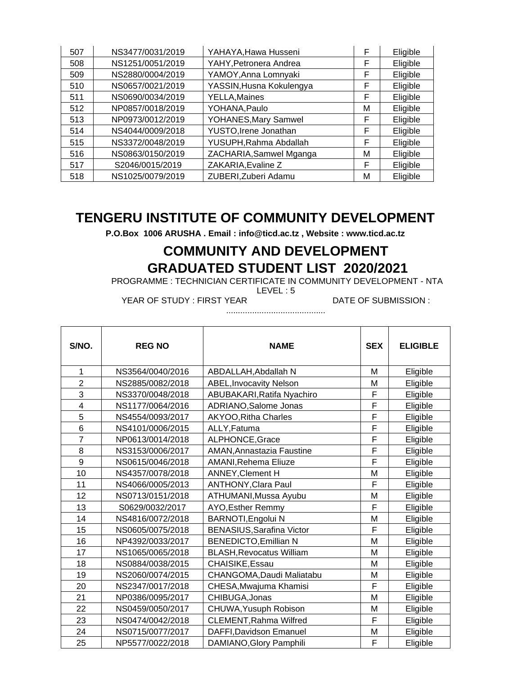| 507 | NS3477/0031/2019 | YAHAYA, Hawa Husseni     | F | Eligible |
|-----|------------------|--------------------------|---|----------|
| 508 | NS1251/0051/2019 | YAHY, Petronera Andrea   | F | Eligible |
| 509 | NS2880/0004/2019 | YAMOY, Anna Lomnyaki     | F | Eligible |
| 510 | NS0657/0021/2019 | YASSIN, Husna Kokulengya | F | Eligible |
| 511 | NS0690/0034/2019 | <b>YELLA, Maines</b>     | F | Eligible |
| 512 | NP0857/0018/2019 | YOHANA, Paulo            | М | Eligible |
| 513 | NP0973/0012/2019 | YOHANES, Mary Samwel     | F | Eligible |
| 514 | NS4044/0009/2018 | YUSTO, Irene Jonathan    | F | Eligible |
| 515 | NS3372/0048/2019 | YUSUPH, Rahma Abdallah   | F | Eligible |
| 516 | NS0863/0150/2019 | ZACHARIA, Samwel Mganga  | М | Eligible |
| 517 | S2046/0015/2019  | ZAKARIA, Evaline Z       | F | Eligible |
| 518 | NS1025/0079/2019 | ZUBERI, Zuberi Adamu     | М | Eligible |

**P.O.Box 1006 ARUSHA . Email : info@ticd.ac.tz , Website : www.ticd.ac.tz**

## **COMMUNITY AND DEVELOPMENT GRADUATED STUDENT LIST 2020/2021**

PROGRAMME : TECHNICIAN CERTIFICATE IN COMMUNITY DEVELOPMENT - NTA

LEVEL : 5

YEAR OF STUDY : FIRST YEAR DATE OF SUBMISSION :

..........................................

| S/NO.          | <b>REG NO</b>    | <b>NAME</b>                     | <b>SEX</b> | <b>ELIGIBLE</b> |
|----------------|------------------|---------------------------------|------------|-----------------|
| 1              | NS3564/0040/2016 | ABDALLAH, Abdallah N            | М          | Eligible        |
| $\overline{2}$ | NS2885/0082/2018 | <b>ABEL, Invocavity Nelson</b>  | M          | Eligible        |
| 3              | NS3370/0048/2018 | ABUBAKARI, Ratifa Nyachiro      | F          | Eligible        |
| 4              | NS1177/0064/2016 | ADRIANO, Salome Jonas           | F          | Eligible        |
| 5              | NS4554/0093/2017 | AKYOO, Ritha Charles            | F          | Eligible        |
| 6              | NS4101/0006/2015 | ALLY, Fatuma                    | F          | Eligible        |
| $\overline{7}$ | NP0613/0014/2018 | ALPHONCE, Grace                 | F          | Eligible        |
| 8              | NS3153/0006/2017 | AMAN, Annastazia Faustine       | F          | Eligible        |
| 9              | NS0615/0046/2018 | AMANI, Rehema Eliuze            | F          | Eligible        |
| 10             | NS4357/0078/2018 | <b>ANNEY, Clement H</b>         | M          | Eligible        |
| 11             | NS4066/0005/2013 | <b>ANTHONY, Clara Paul</b>      | F          | Eligible        |
| 12             | NS0713/0151/2018 | ATHUMANI, Mussa Ayubu           | M          | Eligible        |
| 13             | S0629/0032/2017  | AYO, Esther Remmy               | F          | Eligible        |
| 14             | NS4816/0072/2018 | BARNOTI, Engolui N              | M          | Eligible        |
| 15             | NS0605/0075/2018 | BENASIUS, Sarafina Victor       | F          | Eligible        |
| 16             | NP4392/0033/2017 | <b>BENEDICTO, Emillian N</b>    | M          | Eligible        |
| 17             | NS1065/0065/2018 | <b>BLASH, Revocatus William</b> | M          | Eligible        |
| 18             | NS0884/0038/2015 | CHAISIKE, Essau                 | M          | Eligible        |
| 19             | NS2060/0074/2015 | CHANGOMA, Daudi Maliatabu       | M          | Eligible        |
| 20             | NS2347/0017/2018 | CHESA, Mwajuma Khamisi          | F          | Eligible        |
| 21             | NP0386/0095/2017 | CHIBUGA, Jonas                  | M          | Eligible        |
| 22             | NS0459/0050/2017 | CHUWA, Yusuph Robison           | M          | Eligible        |
| 23             | NS0474/0042/2018 | CLEMENT, Rahma Wilfred          | F          | Eligible        |
| 24             | NS0715/0077/2017 | DAFFI, Davidson Emanuel         | M          | Eligible        |
| 25             | NP5577/0022/2018 | DAMIANO, Glory Pamphili         | F          | Eligible        |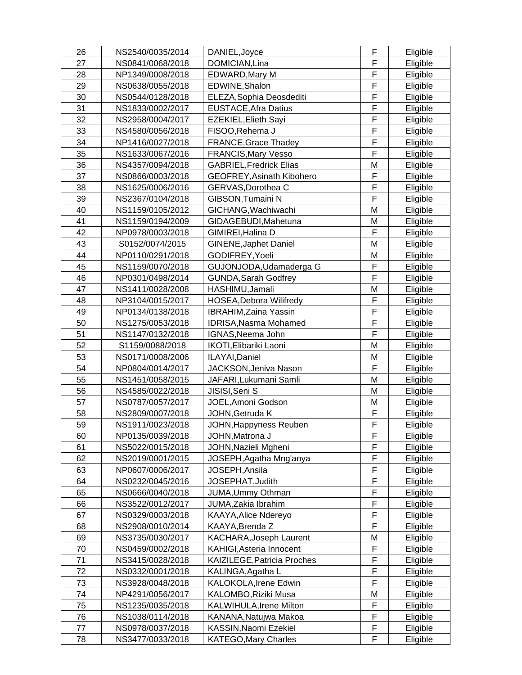| 26 | NS2540/0035/2014 | DANIEL, Joyce                    | F | Eligible |
|----|------------------|----------------------------------|---|----------|
| 27 | NS0841/0068/2018 | DOMICIAN, Lina                   | F | Eligible |
| 28 | NP1349/0008/2018 | EDWARD, Mary M                   | F | Eligible |
| 29 | NS0638/0055/2018 | EDWINE, Shalon                   | F | Eligible |
| 30 | NS0544/0128/2018 | ELEZA, Sophia Deosdediti         | F | Eligible |
| 31 | NS1833/0002/2017 | <b>EUSTACE, Afra Datius</b>      | F | Eligible |
| 32 | NS2958/0004/2017 | EZEKIEL, Elieth Sayi             | F | Eligible |
| 33 | NS4580/0056/2018 | FISOO, Rehema J                  | F | Eligible |
| 34 | NP1416/0027/2018 | FRANCE, Grace Thadey             | F | Eligible |
| 35 | NS1633/0067/2016 | <b>FRANCIS, Mary Vesso</b>       | F | Eligible |
| 36 | NS4357/0094/2018 | <b>GABRIEL, Fredrick Elias</b>   | M | Eligible |
| 37 | NS0866/0003/2018 | <b>GEOFREY, Asinath Kibohero</b> | F | Eligible |
| 38 | NS1625/0006/2016 | GERVAS, Dorothea C               | F | Eligible |
| 39 | NS2367/0104/2018 | GIBSON, Tumaini N                | F | Eligible |
| 40 | NS1159/0105/2012 | GICHANG, Wachiwachi              | M | Eligible |
| 41 | NS1159/0194/2009 | GIDAGEBUDI, Mahetuna             | M | Eligible |
| 42 | NP0978/0003/2018 | GIMIREI, Halina D                | F | Eligible |
| 43 | S0152/0074/2015  | <b>GINENE, Japhet Daniel</b>     | M | Eligible |
| 44 | NP0110/0291/2018 | GODIFREY, Yoeli                  | M | Eligible |
| 45 | NS1159/0070/2018 | GUJONJODA, Udamaderga G          | F | Eligible |
| 46 | NP0301/0498/2014 | <b>GUNDA, Sarah Godfrey</b>      | F | Eligible |
| 47 | NS1411/0028/2008 | HASHIMU, Jamali                  | M | Eligible |
| 48 | NP3104/0015/2017 | HOSEA, Debora Wilifredy          | F | Eligible |
| 49 | NP0134/0138/2018 | <b>IBRAHIM, Zaina Yassin</b>     | F | Eligible |
| 50 | NS1275/0053/2018 | <b>IDRISA, Nasma Mohamed</b>     | F | Eligible |
| 51 | NS1147/0132/2018 | IGNAS, Neema John                | F | Eligible |
| 52 | S1159/0088/2018  | IKOTI, Elibariki Laoni           | M | Eligible |
| 53 | NS0171/0008/2006 | ILAYAI, Daniel                   | M | Eligible |
| 54 | NP0804/0014/2017 | JACKSON, Jeniva Nason            | F | Eligible |
| 55 | NS1451/0058/2015 | JAFARI, Lukumani Samli           | M | Eligible |
| 56 | NS4585/0022/2018 | JISISI, Seni S                   | M | Eligible |
| 57 | NS0787/0057/2017 | JOEL, Amoni Godson               | M | Eligible |
| 58 | NS2809/0007/2018 | JOHN, Getruda K                  | F | Eligible |
| 59 | NS1911/0023/2018 | JOHN, Happyness Reuben           | F | Eligible |
| 60 | NP0135/0039/2018 | JOHN, Matrona J                  | F | Eligible |
| 61 | NS5022/0015/2018 | JOHN, Nazieli Mgheni             | F | Eligible |
| 62 | NS2019/0001/2015 | JOSEPH, Agatha Mng'anya          | F | Eligible |
| 63 | NP0607/0006/2017 | JOSEPH, Ansila                   | F | Eligible |
| 64 | NS0232/0045/2016 | JOSEPHAT, Judith                 | F | Eligible |
| 65 | NS0666/0040/2018 | JUMA, Ummy Othman                | F | Eligible |
| 66 | NS3522/0012/2017 | JUMA, Zakia Ibrahim              | F | Eligible |
| 67 | NS0329/0003/2018 | KAAYA, Alice Ndereyo             | F | Eligible |
| 68 | NS2908/0010/2014 | KAAYA, Brenda Z                  | F | Eligible |
| 69 | NS3735/0030/2017 | KACHARA, Joseph Laurent          | M | Eligible |
| 70 | NS0459/0002/2018 | KAHIGI, Asteria Innocent         | F | Eligible |
| 71 | NS3415/0028/2018 | KAIZILEGE, Patricia Proches      | F | Eligible |
| 72 | NS0332/0001/2018 | KALINGA, Agatha L                | F | Eligible |
| 73 | NS3928/0048/2018 | KALOKOLA, Irene Edwin            | F | Eligible |
| 74 | NP4291/0056/2017 | KALOMBO, Riziki Musa             | M | Eligible |
| 75 | NS1235/0035/2018 | <b>KALWIHULA, Irene Milton</b>   | F | Eligible |
| 76 | NS1038/0114/2018 | KANANA, Natujwa Makoa            | F | Eligible |
| 77 | NS0978/0037/2018 | KASSIN, Naomi Ezekiel            | F | Eligible |
| 78 | NS3477/0033/2018 | <b>KATEGO, Mary Charles</b>      | F | Eligible |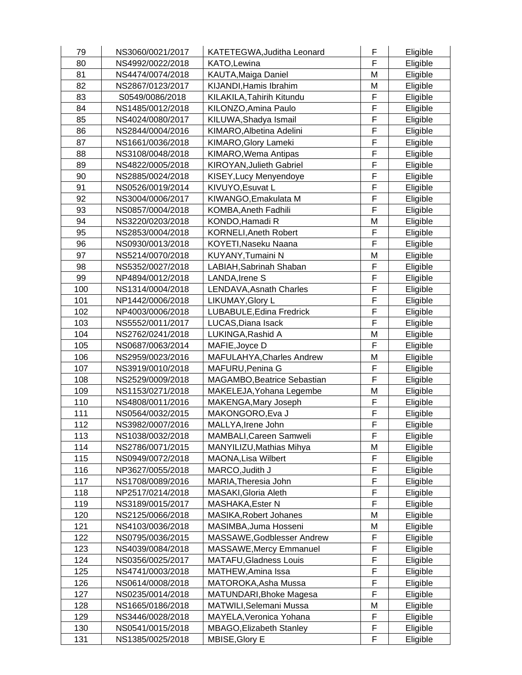| 79  | NS3060/0021/2017 | KATETEGWA, Juditha Leonard    | F              | Eligible |
|-----|------------------|-------------------------------|----------------|----------|
| 80  | NS4992/0022/2018 | KATO, Lewina                  | F              | Eligible |
| 81  | NS4474/0074/2018 | KAUTA, Maiga Daniel           | M              | Eligible |
| 82  | NS2867/0123/2017 | KIJANDI, Hamis Ibrahim        | М              | Eligible |
| 83  | S0549/0086/2018  | KILAKILA, Tahirih Kitundu     | F              | Eligible |
| 84  | NS1485/0012/2018 | KILONZO, Amina Paulo          | F              | Eligible |
| 85  | NS4024/0080/2017 | KILUWA, Shadya Ismail         | F              | Eligible |
| 86  | NS2844/0004/2016 | KIMARO, Albetina Adelini      | F              | Eligible |
| 87  | NS1661/0036/2018 | KIMARO, Glory Lameki          | F              | Eligible |
| 88  | NS3108/0048/2018 | KIMARO, Wema Antipas          | F              | Eligible |
| 89  | NS4822/0005/2018 | KIROYAN, Julieth Gabriel      | F              | Eligible |
| 90  | NS2885/0024/2018 | KISEY, Lucy Menyendoye        | F              | Eligible |
| 91  | NS0526/0019/2014 | KIVUYO, Esuvat L              | F              | Eligible |
| 92  | NS3004/0006/2017 | KIWANGO, Emakulata M          | F              | Eligible |
| 93  | NS0857/0004/2018 | KOMBA, Aneth Fadhili          | F              | Eligible |
| 94  | NS3220/0203/2018 | KONDO, Hamadi R               | M              |          |
| 95  |                  |                               | F              | Eligible |
|     | NS2853/0004/2018 | <b>KORNELI, Aneth Robert</b>  | F              | Eligible |
| 96  | NS0930/0013/2018 | KOYETI, Naseku Naana          |                | Eligible |
| 97  | NS5214/0070/2018 | KUYANY, Tumaini N             | M              | Eligible |
| 98  | NS5352/0027/2018 | LABIAH, Sabrinah Shaban       | F              | Eligible |
| 99  | NP4894/0012/2018 | LANDA, Irene S                | F              | Eligible |
| 100 | NS1314/0004/2018 | LENDAVA, Asnath Charles       | $\overline{F}$ | Eligible |
| 101 | NP1442/0006/2018 | LIKUMAY, Glory L              | F              | Eligible |
| 102 | NP4003/0006/2018 | LUBABULE, Edina Fredrick      | F              | Eligible |
| 103 | NS5552/0011/2017 | LUCAS, Diana Isack            | F              | Eligible |
| 104 | NS2762/0241/2018 | LUKINGA, Rashid A             | M              | Eligible |
| 105 | NS0687/0063/2014 | MAFIE, Joyce D                | F              | Eligible |
| 106 | NS2959/0023/2016 | MAFULAHYA, Charles Andrew     | M              | Eligible |
| 107 | NS3919/0010/2018 | MAFURU, Penina G              | F              | Eligible |
| 108 | NS2529/0009/2018 | MAGAMBO, Beatrice Sebastian   | F              | Eligible |
| 109 | NS1153/0271/2018 | MAKELEJA, Yohana Legembe      | M              | Eligible |
| 110 | NS4808/0011/2016 | MAKENGA, Mary Joseph          | F              | Eligible |
| 111 | NS0564/0032/2015 | MAKONGORO, Eva J              | F              | Eligible |
| 112 | NS3982/0007/2016 | MALLYA, Irene John            | $\overline{F}$ | Eligible |
| 113 | NS1038/0032/2018 | MAMBALI, Careen Samweli       | F              | Eligible |
| 114 | NS2786/0071/2015 | MANYILIZU, Mathias Mihya      | M              | Eligible |
| 115 | NS0949/0072/2018 | MAONA, Lisa Wilbert           | F              | Eligible |
| 116 | NP3627/0055/2018 | MARCO, Judith J               | F              | Eligible |
| 117 | NS1708/0089/2016 | MARIA, Theresia John          | F              | Eligible |
| 118 | NP2517/0214/2018 | MASAKI, Gloria Aleth          | F              | Eligible |
| 119 | NS3189/0015/2017 | MASHAKA, Ester N              | F              | Eligible |
| 120 | NS2125/0066/2018 | MASIKA, Robert Johanes        | Μ              | Eligible |
| 121 | NS4103/0036/2018 | MASIMBA, Juma Hosseni         | M              | Eligible |
| 122 | NS0795/0036/2015 | MASSAWE, Godblesser Andrew    | F              | Eligible |
| 123 | NS4039/0084/2018 | MASSAWE, Mercy Emmanuel       | F              | Eligible |
| 124 | NS0356/0025/2017 | <b>MATAFU, Gladness Louis</b> | F              | Eligible |
| 125 | NS4741/0003/2018 | MATHEW, Amina Issa            | F              | Eligible |
| 126 | NS0614/0008/2018 | MATOROKA, Asha Mussa          | F              | Eligible |
| 127 | NS0235/0014/2018 | MATUNDARI, Bhoke Magesa       | F              | Eligible |
| 128 | NS1665/0186/2018 | MATWILI, Selemani Mussa       | М              | Eligible |
| 129 | NS3446/0028/2018 | MAYELA, Veronica Yohana       | F              | Eligible |
| 130 | NS0541/0015/2018 | MBAGO, Elizabeth Stanley      | F              | Eligible |
| 131 | NS1385/0025/2018 | MBISE, Glory E                | F              | Eligible |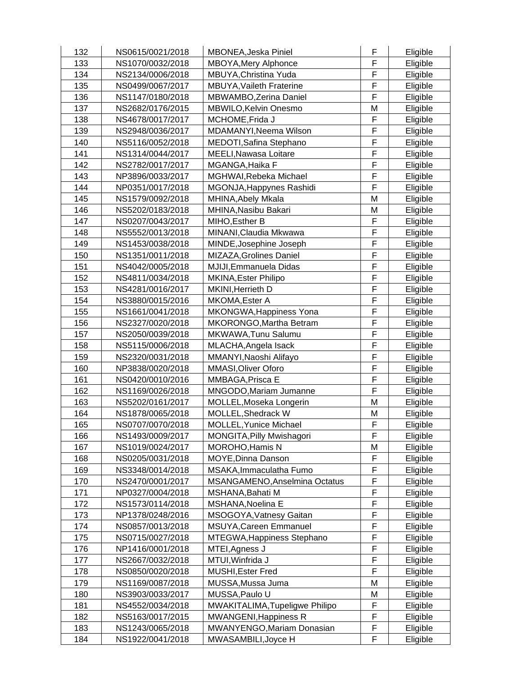| 132 | NS0615/0021/2018 | MBONEA, Jeska Piniel                 | F      | Eligible |
|-----|------------------|--------------------------------------|--------|----------|
| 133 | NS1070/0032/2018 | MBOYA, Mery Alphonce                 | F      | Eligible |
| 134 | NS2134/0006/2018 | MBUYA, Christina Yuda                | F      | Eligible |
| 135 | NS0499/0067/2017 | MBUYA, Vaileth Fraterine             | F      | Eligible |
| 136 | NS1147/0180/2018 | MBWAMBO, Zerina Daniel               | F      | Eligible |
| 137 | NS2682/0176/2015 | MBWILO, Kelvin Onesmo                | M      | Eligible |
| 138 | NS4678/0017/2017 | MCHOME, Frida J                      | F      | Eligible |
| 139 | NS2948/0036/2017 | MDAMANYI, Neema Wilson               | F      | Eligible |
| 140 | NS5116/0052/2018 | MEDOTI, Safina Stephano              | F      | Eligible |
| 141 | NS1314/0044/2017 | MEELI, Nawasa Loitare                | F      | Eligible |
| 142 | NS2782/0017/2017 | MGANGA, Haika F                      | F      | Eligible |
| 143 | NP3896/0033/2017 | MGHWAI, Rebeka Michael               | F      | Eligible |
| 144 | NP0351/0017/2018 | MGONJA, Happynes Rashidi             | F      | Eligible |
| 145 |                  |                                      | M      |          |
|     | NS1579/0092/2018 | MHINA, Abely Mkala                   |        | Eligible |
| 146 | NS5202/0183/2018 | MHINA, Nasibu Bakari                 | M      | Eligible |
| 147 | NS0207/0043/2017 | MIHO, Esther B                       | F      | Eligible |
| 148 | NS5552/0013/2018 | MINANI, Claudia Mkwawa               | F      | Eligible |
| 149 | NS1453/0038/2018 | MINDE, Josephine Joseph              | F      | Eligible |
| 150 | NS1351/0011/2018 | MIZAZA, Grolines Daniel              | F      | Eligible |
| 151 | NS4042/0005/2018 | MJIJI, Emmanuela Didas               | F      | Eligible |
| 152 | NS4811/0034/2018 | MKINA, Ester Philipo                 | F      | Eligible |
| 153 | NS4281/0016/2017 | MKINI, Herrieth D                    | F      | Eligible |
| 154 | NS3880/0015/2016 | MKOMA, Ester A                       | F      | Eligible |
| 155 | NS1661/0041/2018 | MKONGWA, Happiness Yona              | F      | Eligible |
| 156 | NS2327/0020/2018 | MKORONGO, Martha Betram              | F      | Eligible |
| 157 | NS2050/0039/2018 | MKWAWA, Tunu Salumu                  | F      | Eligible |
| 158 | NS5115/0006/2018 | MLACHA, Angela Isack                 | F      | Eligible |
| 159 | NS2320/0031/2018 | MMANYI, Naoshi Alifayo               | F      | Eligible |
| 160 | NP3838/0020/2018 | MMASI, Oliver Oforo                  | F      | Eligible |
| 161 | NS0420/0010/2016 | MMBAGA, Prisca E                     | F      | Eligible |
| 162 | NS1169/0026/2018 | MNGODO, Mariam Jumanne               | F      | Eligible |
| 163 | NS5202/0161/2017 | MOLLEL, Moseka Longerin              | M      | Eligible |
| 164 | NS1878/0065/2018 | MOLLEL, Shedrack W                   | M      | Eligible |
| 165 | NS0707/0070/2018 | <b>MOLLEL, Yunice Michael</b>        | F      | Eligible |
| 166 | NS1493/0009/2017 | MONGITA, Pilly Mwishagori            | F      | Eligible |
| 167 | NS1019/0024/2017 | <b>MOROHO, Hamis N</b>               | М      | Eligible |
| 168 | NS0205/0031/2018 | MOYE, Dinna Danson                   | F      | Eligible |
| 169 | NS3348/0014/2018 | MSAKA, Immaculatha Fumo              | F      | Eligible |
| 170 | NS2470/0001/2017 | <b>MSANGAMENO, Anselmina Octatus</b> | F      | Eligible |
| 171 | NP0327/0004/2018 | MSHANA, Bahati M                     | F      | Eligible |
| 172 | NS1573/0114/2018 | MSHANA, Noelina E                    | F      | Eligible |
| 173 | NP1378/0248/2016 | MSOGOYA, Vatnesy Gaitan              | F      | Eligible |
| 174 | NS0857/0013/2018 | MSUYA, Careen Emmanuel               | F      | Eligible |
| 175 | NS0715/0027/2018 | MTEGWA, Happiness Stephano           | F      | Eligible |
| 176 | NP1416/0001/2018 | MTEI, Agness J                       | F      | Eligible |
| 177 | NS2667/0032/2018 | MTUI, Winfrida J                     | F      | Eligible |
| 178 | NS0850/0020/2018 | MUSHI, Ester Fred                    | F      | Eligible |
| 179 | NS1169/0087/2018 | MUSSA, Mussa Juma                    | M      | Eligible |
| 180 | NS3903/0033/2017 | MUSSA, Paulo U                       | M      | Eligible |
| 181 |                  |                                      | F      |          |
|     | NS4552/0034/2018 | MWAKITALIMA, Tupeligwe Philipo       | F      | Eligible |
| 182 | NS5163/0017/2015 | MWANGENI, Happiness R                |        | Eligible |
| 183 | NS1243/0065/2018 | MWANYENGO, Mariam Donasian           | F<br>F | Eligible |
| 184 | NS1922/0041/2018 | MWASAMBILI, Joyce H                  |        | Eligible |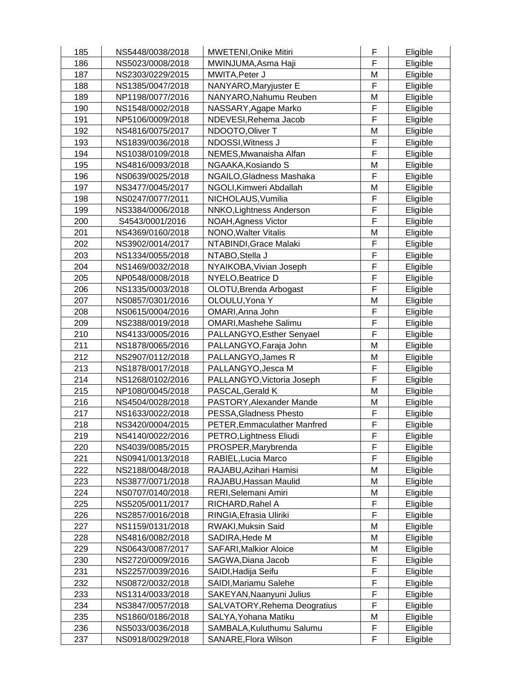| 185 | NS5448/0038/2018 | <b>MWETENI, Onike Mitiri</b>        | F | Eligible             |
|-----|------------------|-------------------------------------|---|----------------------|
| 186 | NS5023/0008/2018 | MWINJUMA, Asma Haji                 | F | Eligible             |
| 187 | NS2303/0229/2015 | MWITA, Peter J                      | M | Eligible             |
| 188 | NS1385/0047/2018 | NANYARO, Maryjuster E               | F | Eligible             |
| 189 | NP1198/0077/2016 | NANYARO, Nahumu Reuben              | M | Eligible             |
| 190 | NS1548/0002/2018 | NASSARY, Agape Marko                | F | Eligible             |
| 191 | NP5106/0009/2018 | NDEVESI, Rehema Jacob               | F | Eligible             |
| 192 | NS4816/0075/2017 | NDOOTO, Oliver T                    | M | Eligible             |
| 193 | NS1839/0036/2018 | NDOSSI, Witness J                   | F | Eligible             |
| 194 | NS1038/0109/2018 | NEMES, Mwanaisha Alfan              | F | Eligible             |
| 195 | NS4816/0093/2018 | NGAAKA, Kosiando S                  | M | Eligible             |
| 196 | NS0639/0025/2018 | NGAILO, Gladness Mashaka            | F | Eligible             |
| 197 | NS3477/0045/2017 | NGOLI, Kimweri Abdallah             | M | Eligible             |
| 198 | NS0247/0077/2011 | NICHOLAUS, Vumilia                  | F | Eligible             |
| 199 | NS3384/0006/2018 | NNKO, Lightness Anderson            | F | Eligible             |
| 200 | S4543/0001/2016  | NOAH, Agness Victor                 | F | Eligible             |
| 201 | NS4369/0160/2018 | <b>NONO, Walter Vitalis</b>         | M | Eligible             |
| 202 | NS3902/0014/2017 | NTABINDI, Grace Malaki              | F | Eligible             |
| 203 | NS1334/0055/2018 | NTABO, Stella J                     | F | Eligible             |
| 204 | NS1469/0032/2018 | NYAIKOBA, Vivian Joseph             | F | Eligible             |
| 205 | NP0548/0008/2018 | NYELO, Beatrice D                   | F | Eligible             |
| 206 | NS1335/0003/2018 | OLOTU, Brenda Arbogast              | F | Eligible             |
| 207 | NS0857/0301/2016 | OLOULU, Yona Y                      | M | Eligible             |
| 208 | NS0615/0004/2016 | OMARI, Anna John                    | F | Eligible             |
| 209 | NS2388/0019/2018 | OMARI, Mashehe Salimu               | F | Eligible             |
| 210 | NS4133/0005/2016 | PALLANGYO, Esther Senyael           | F |                      |
| 211 | NS1878/0065/2016 | PALLANGYO, Faraja John              | M | Eligible<br>Eligible |
| 212 | NS2907/0112/2018 | PALLANGYO, James R                  | M | Eligible             |
| 213 | NS1878/0017/2018 | PALLANGYO, Jesca M                  | F | Eligible             |
| 214 | NS1268/0102/2016 | PALLANGYO, Victoria Joseph          | F | Eligible             |
| 215 | NP1080/0045/2018 | PASCAL, Gerald K                    | M | Eligible             |
| 216 | NS4504/0028/2018 | PASTORY, Alexander Mande            | M | Eligible             |
| 217 | NS1633/0022/2018 | PESSA, Gladness Phesto              | F | Eligible             |
| 218 | NS3420/0004/2015 | PETER, Emmaculather Manfred         | F | Eligible             |
| 219 | NS4140/0022/2016 | PETRO, Lightness Eliudi             | F | Eligible             |
| 220 | NS4039/0085/2015 | PROSPER, Marybrenda                 | F | Eligible             |
| 221 | NS0941/0013/2018 | RABIEL, Lucia Marco                 | F | Eligible             |
| 222 | NS2188/0048/2018 | RAJABU, Azihari Hamisi              | M | Eligible             |
| 223 | NS3877/0071/2018 | RAJABU, Hassan Maulid               | M | Eligible             |
| 224 | NS0707/0140/2018 | RERI, Selemani Amiri                | М | Eligible             |
| 225 | NS5205/0011/2017 | RICHARD, Rahel A                    | F | Eligible             |
| 226 | NS2857/0016/2018 | RINGIA, Efrasia Uliriki             | F | Eligible             |
| 227 | NS1159/0131/2018 | RWAKI, Muksin Said                  | M | Eligible             |
| 228 | NS4816/0082/2018 | SADIRA, Hede M                      | M | Eligible             |
| 229 | NS0643/0087/2017 | <b>SAFARI, Malkior Aloice</b>       | М | Eligible             |
| 230 | NS2720/0009/2016 | SAGWA, Diana Jacob                  | F | Eligible             |
| 231 | NS2257/0039/2016 | SAIDI, Hadija Seifu                 | F | Eligible             |
| 232 | NS0872/0032/2018 | SAIDI, Mariamu Salehe               | F | Eligible             |
| 233 | NS1314/0033/2018 | SAKEYAN, Naanyuni Julius            | F | Eligible             |
| 234 | NS3847/0057/2018 | <b>SALVATORY, Rehema Deogratius</b> | F | Eligible             |
| 235 | NS1860/0186/2018 | SALYA, Yohana Matiku                | М | Eligible             |
| 236 | NS5033/0036/2018 | SAMBALA, Kuluthumu Salumu           | F | Eligible             |
| 237 | NS0918/0029/2018 | SANARE, Flora Wilson                | F | Eligible             |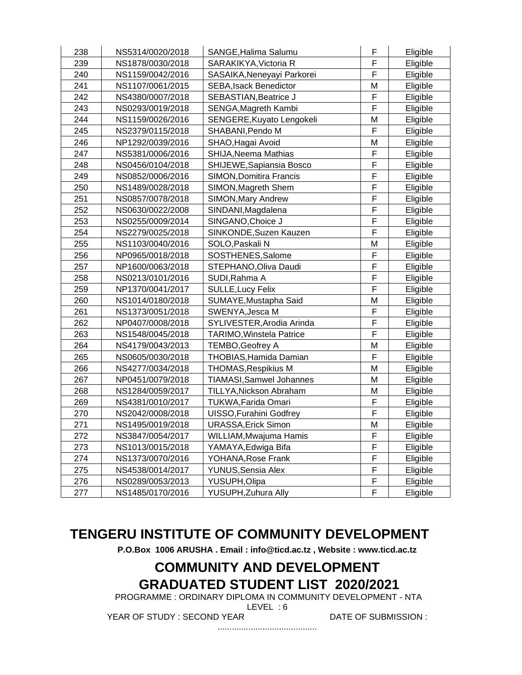| 238 | NS5314/0020/2018 | SANGE, Halima Salumu            | F | Eligible |
|-----|------------------|---------------------------------|---|----------|
| 239 | NS1878/0030/2018 | SARAKIKYA, Victoria R           | F | Eligible |
| 240 | NS1159/0042/2016 | SASAIKA, Neneyayi Parkorei      | F | Eligible |
| 241 | NS1107/0061/2015 | <b>SEBA, Isack Benedictor</b>   | M | Eligible |
| 242 | NS4380/0007/2018 | SEBASTIAN, Beatrice J           | F | Eligible |
| 243 | NS0293/0019/2018 | SENGA, Magreth Kambi            | F | Eligible |
| 244 | NS1159/0026/2016 | SENGERE, Kuyato Lengokeli       | M | Eligible |
| 245 | NS2379/0115/2018 | SHABANI, Pendo M                | F | Eligible |
| 246 | NP1292/0039/2016 | SHAO, Hagai Avoid               | M | Eligible |
| 247 | NS5381/0006/2016 | SHIJA, Neema Mathias            | F | Eligible |
| 248 | NS0456/0104/2018 | SHIJEWE, Sapiansia Bosco        | F | Eligible |
| 249 | NS0852/0006/2016 | SIMON, Domitira Francis         | F | Eligible |
| 250 | NS1489/0028/2018 | SIMON, Magreth Shem             | F | Eligible |
| 251 | NS0857/0078/2018 | SIMON, Mary Andrew              | F | Eligible |
| 252 | NS0630/0022/2008 | SINDANI, Magdalena              | F | Eligible |
| 253 | NS0255/0009/2014 | SINGANO, Choice J               | F | Eligible |
| 254 | NS2279/0025/2018 | SINKONDE, Suzen Kauzen          | F | Eligible |
| 255 | NS1103/0040/2016 | SOLO, Paskali N                 | M | Eligible |
| 256 | NP0965/0018/2018 | SOSTHENES, Salome               | F | Eligible |
| 257 | NP1600/0063/2018 | STEPHANO, Oliva Daudi           | F | Eligible |
| 258 | NS0213/0101/2016 | SUDI, Rahma A                   | F | Eligible |
| 259 | NP1370/0041/2017 | <b>SULLE, Lucy Felix</b>        | F | Eligible |
| 260 | NS1014/0180/2018 | SUMAYE, Mustapha Said           | M | Eligible |
| 261 | NS1373/0051/2018 | SWENYA, Jesca M                 | F | Eligible |
| 262 | NP0407/0008/2018 | SYLIVESTER, Arodia Arinda       | F | Eligible |
| 263 | NS1548/0045/2018 | TARIMO, Winstela Patrice        | F | Eligible |
| 264 | NS4179/0043/2013 | TEMBO, Geofrey A                | M | Eligible |
| 265 | NS0605/0030/2018 | THOBIAS, Hamida Damian          | F | Eligible |
| 266 | NS4277/0034/2018 | <b>THOMAS, Respikius M</b>      | M | Eligible |
| 267 | NP0451/0079/2018 | <b>TIAMASI, Samwel Johannes</b> | M | Eligible |
| 268 | NS1284/0059/2017 | TILLYA, Nickson Abraham         | M | Eligible |
| 269 | NS4381/0010/2017 | TUKWA, Farida Omari             | F | Eligible |
| 270 | NS2042/0008/2018 | UISSO, Furahini Godfrey         | F | Eligible |
| 271 | NS1495/0019/2018 | <b>URASSA, Erick Simon</b>      | M | Eligible |
| 272 | NS3847/0054/2017 | WILLIAM, Mwajuma Hamis          | F | Eligible |
| 273 | NS1013/0015/2018 | YAMAYA, Edwiga Bifa             | F | Eligible |
| 274 | NS1373/0070/2016 | YOHANA, Rose Frank              | F | Eligible |
| 275 | NS4538/0014/2017 | <b>YUNUS, Sensia Alex</b>       | F | Eligible |
| 276 | NS0289/0053/2013 | YUSUPH, Olipa                   | F | Eligible |
| 277 | NS1485/0170/2016 | YUSUPH, Zuhura Ally             | F | Eligible |

**P.O.Box 1006 ARUSHA . Email : info@ticd.ac.tz , Website : www.ticd.ac.tz**

# **COMMUNITY AND DEVELOPMENT GRADUATED STUDENT LIST 2020/2021**

PROGRAMME : ORDINARY DIPLOMA IN COMMUNITY DEVELOPMENT - NTA

LEVEL : 6

..........................................

YEAR OF STUDY : SECOND YEAR DATE OF SUBMISSION :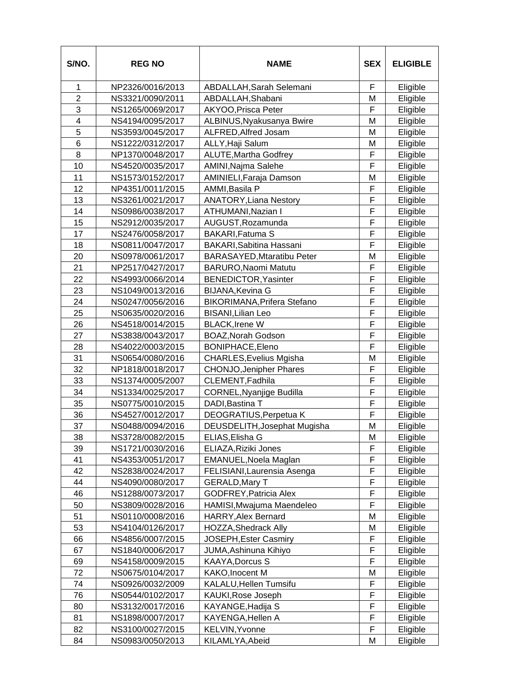| S/NO.          | <b>REG NO</b>    | <b>NAME</b>                    | <b>SEX</b> | <b>ELIGIBLE</b> |
|----------------|------------------|--------------------------------|------------|-----------------|
| 1              | NP2326/0016/2013 | ABDALLAH, Sarah Selemani       | F          | Eligible        |
| $\overline{2}$ | NS3321/0090/2011 | ABDALLAH, Shabani              | M          | Eligible        |
| 3              | NS1265/0069/2017 | AKYOO, Prisca Peter            | F          | Eligible        |
| 4              | NS4194/0095/2017 | ALBINUS, Nyakusanya Bwire      | M          | Eligible        |
| 5              | NS3593/0045/2017 | ALFRED, Alfred Josam           | M          | Eligible        |
| 6              | NS1222/0312/2017 | ALLY, Haji Salum               | M          | Eligible        |
| 8              | NP1370/0048/2017 | <b>ALUTE, Martha Godfrey</b>   | F          | Eligible        |
| 10             | NS4520/0035/2017 | AMINI, Najma Salehe            | F          | Eligible        |
| 11             | NS1573/0152/2017 | AMINIELI, Faraja Damson        | M          | Eligible        |
| 12             | NP4351/0011/2015 | AMMI, Basila P                 | F          | Eligible        |
| 13             | NS3261/0021/2017 | <b>ANATORY, Liana Nestory</b>  | F          | Eligible        |
| 14             | NS0986/0038/2017 | ATHUMANI, Nazian I             | F          | Eligible        |
| 15             | NS2912/0035/2017 | AUGUST, Rozamunda              | F          | Eligible        |
| 17             | NS2476/0058/2017 | <b>BAKARI, Fatuma S</b>        | F          | Eligible        |
| 18             | NS0811/0047/2017 | BAKARI, Sabitina Hassani       | F          | Eligible        |
| 20             | NS0978/0061/2017 | BARASAYED, Mtaratibu Peter     | M          | Eligible        |
| 21             | NP2517/0427/2017 | BARURO, Naomi Matutu           | F          | Eligible        |
| 22             | NS4993/0066/2014 | BENEDICTOR, Yasinter           | F          | Eligible        |
| 23             | NS1049/0013/2016 | <b>BIJANA, Kevina G</b>        | F          | Eligible        |
| 24             | NS0247/0056/2016 | BIKORIMANA, Prifera Stefano    | F          | Eligible        |
| 25             | NS0635/0020/2016 | <b>BISANI, Lilian Leo</b>      | F          | Eligible        |
| 26             | NS4518/0014/2015 | <b>BLACK, Irene W</b>          | F          | Eligible        |
| 27             | NS3838/0043/2017 | <b>BOAZ, Norah Godson</b>      | F          | Eligible        |
| 28             | NS4022/0003/2015 | BONIPHACE, Eleno               | F          | Eligible        |
| 31             | NS0654/0080/2016 | <b>CHARLES, Evelius Mgisha</b> | M          | Eligible        |
| 32             | NP1818/0018/2017 | <b>CHONJO, Jenipher Phares</b> | F          | Eligible        |
| 33             | NS1374/0005/2007 | CLEMENT, Fadhila               | F          | Eligible        |
| 34             | NS1334/0025/2017 | CORNEL, Nyanjige Budilla       | F          | Eligible        |
| 35             | NS0775/0010/2015 | DADI, Bastina T                | F          | Eligible        |
| 36             | NS4527/0012/2017 | DEOGRATIUS, Perpetua K         | F          | Eligible        |
| 37             | NS0488/0094/2016 | DEUSDELITH, Josephat Mugisha   | M          | Eligible        |
| 38             | NS3728/0082/2015 | ELIAS, Elisha G                | M          | Eligible        |
| 39             | NS1721/0030/2016 | ELIAZA, Riziki Jones           | F          | Eligible        |
| 41             | NS4353/0051/2017 | EMANUEL, Noela Maglan          | F          | Eligible        |
| 42             | NS2838/0024/2017 | FELISIANI, Laurensia Asenga    | F          | Eligible        |
| 44             | NS4090/0080/2017 | <b>GERALD, Mary T</b>          | F          | Eligible        |
| 46             | NS1288/0073/2017 | <b>GODFREY, Patricia Alex</b>  | F          | Eligible        |
| 50             | NS3809/0028/2016 | HAMISI, Mwajuma Maendeleo      | F          | Eligible        |
| 51             | NS0110/0008/2016 | <b>HARRY, Alex Bernard</b>     | M          | Eligible        |
| 53             | NS4104/0126/2017 | <b>HOZZA, Shedrack Ally</b>    | M          | Eligible        |
| 66             | NS4856/0007/2015 | <b>JOSEPH, Ester Casmiry</b>   | F          | Eligible        |
| 67             | NS1840/0006/2017 | JUMA, Ashinuna Kihiyo          | F          | Eligible        |
| 69             | NS4158/0009/2015 | <b>KAAYA, Dorcus S</b>         | F          | Eligible        |
| 72             | NS0675/0104/2017 | KAKO, Inocent M                | M          | Eligible        |
| 74             | NS0926/0032/2009 | KALALU, Hellen Tumsifu         | F          | Eligible        |
| 76             | NS0544/0102/2017 | KAUKI, Rose Joseph             | F          | Eligible        |
| 80             | NS3132/0017/2016 | KAYANGE, Hadija S              | F          | Eligible        |
| 81             | NS1898/0007/2017 | KAYENGA, Hellen A              | F          | Eligible        |
| 82             | NS3100/0027/2015 | KELVIN, Yvonne                 | F          | Eligible        |
| 84             | NS0983/0050/2013 | KILAMLYA, Abeid                | M          | Eligible        |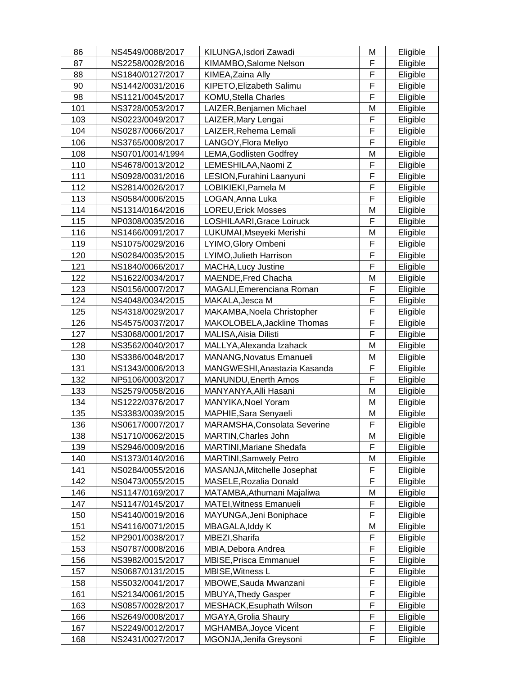| 86  | NS4549/0088/2017 | KILUNGA, Isdori Zawadi          | M | Eligible |
|-----|------------------|---------------------------------|---|----------|
| 87  | NS2258/0028/2016 | KIMAMBO, Salome Nelson          | F | Eligible |
| 88  | NS1840/0127/2017 | KIMEA, Zaina Ally               | F | Eligible |
| 90  | NS1442/0031/2016 | KIPETO, Elizabeth Salimu        | F | Eligible |
| 98  | NS1121/0045/2017 | <b>KOMU, Stella Charles</b>     | F | Eligible |
| 101 | NS3728/0053/2017 | LAIZER, Benjamen Michael        | M | Eligible |
| 103 | NS0223/0049/2017 | LAIZER, Mary Lengai             | F | Eligible |
| 104 | NS0287/0066/2017 | LAIZER, Rehema Lemali           | F | Eligible |
| 106 | NS3765/0008/2017 | LANGOY, Flora Meliyo            | F | Eligible |
| 108 | NS0701/0014/1994 | <b>LEMA, Godlisten Godfrey</b>  | M | Eligible |
| 110 | NS4678/0013/2012 | LEMESHILAA, Naomi Z             | F | Eligible |
| 111 | NS0928/0031/2016 | LESION, Furahini Laanyuni       | F | Eligible |
| 112 | NS2814/0026/2017 | LOBIKIEKI, Pamela M             | F | Eligible |
| 113 | NS0584/0006/2015 | LOGAN, Anna Luka                | F | Eligible |
| 114 | NS1314/0164/2016 | <b>LOREU, Erick Mosses</b>      | M | Eligible |
| 115 | NP0308/0035/2016 | LOSHILAARI, Grace Loiruck       | F | Eligible |
| 116 | NS1466/0091/2017 | LUKUMAI, Mseyeki Merishi        | M |          |
| 119 | NS1075/0029/2016 |                                 | F | Eligible |
|     |                  | LYIMO, Glory Ombeni             | F | Eligible |
| 120 | NS0284/0035/2015 | LYIMO, Julieth Harrison         |   | Eligible |
| 121 | NS1840/0066/2017 | <b>MACHA, Lucy Justine</b>      | F | Eligible |
| 122 | NS1622/0034/2017 | MAENDE, Fred Chacha             | M | Eligible |
| 123 | NS0156/0007/2017 | MAGALI, Emerenciana Roman       | F | Eligible |
| 124 | NS4048/0034/2015 | MAKALA, Jesca M                 | F | Eligible |
| 125 | NS4318/0029/2017 | MAKAMBA, Noela Christopher      | F | Eligible |
| 126 | NS4575/0037/2017 | MAKOLOBELA, Jackline Thomas     | F | Eligible |
| 127 | NS3068/0001/2017 | <b>MALISA, Aisia Dilisti</b>    | F | Eligible |
| 128 | NS3562/0040/2017 | MALLYA, Alexanda Izahack        | M | Eligible |
| 130 | NS3386/0048/2017 | <b>MANANG, Novatus Emanueli</b> | M | Eligible |
| 131 | NS1343/0006/2013 | MANGWESHI, Anastazia Kasanda    | F | Eligible |
| 132 | NP5106/0003/2017 | <b>MANUNDU, Enerth Amos</b>     | F | Eligible |
| 133 | NS2579/0058/2016 | MANYANYA, Alli Hasani           | M | Eligible |
| 134 | NS1222/0376/2017 | MANYIKA, Noel Yoram             | M | Eligible |
| 135 | NS3383/0039/2015 | MAPHIE, Sara Senyaeli           | Μ | Eligible |
| 136 | NS0617/0007/2017 | MARAMSHA, Consolata Severine    | F | Eligible |
| 138 | NS1710/0062/2015 | MARTIN, Charles John            | M | Eligible |
| 139 | NS2946/0009/2016 | <b>MARTINI, Mariane Shedafa</b> | F | Eligible |
| 140 | NS1373/0140/2016 | <b>MARTINI, Samwely Petro</b>   | Μ | Eligible |
| 141 | NS0284/0055/2016 | MASANJA, Mitchelle Josephat     | F | Eligible |
| 142 | NS0473/0055/2015 | MASELE, Rozalia Donald          | F | Eligible |
| 146 | NS1147/0169/2017 | MATAMBA, Athumani Majaliwa      | M | Eligible |
| 147 | NS1147/0145/2017 | <b>MATEI, Witness Emanueli</b>  | F | Eligible |
| 150 | NS4140/0019/2016 | MAYUNGA, Jeni Boniphace         | F | Eligible |
| 151 | NS4116/0071/2015 | MBAGALA, Iddy K                 | Μ | Eligible |
| 152 | NP2901/0038/2017 | MBEZI, Sharifa                  | F | Eligible |
| 153 | NS0787/0008/2016 | MBIA, Debora Andrea             | F | Eligible |
| 156 | NS3982/0015/2017 | <b>MBISE, Prisca Emmanuel</b>   | F | Eligible |
| 157 | NS0687/0131/2015 | MBISE, Witness L                | F | Eligible |
| 158 | NS5032/0041/2017 | MBOWE, Sauda Mwanzani           | F | Eligible |
| 161 | NS2134/0061/2015 | <b>MBUYA, Thedy Gasper</b>      | F | Eligible |
| 163 | NS0857/0028/2017 | MESHACK, Esuphath Wilson        | F | Eligible |
| 166 | NS2649/0008/2017 | <b>MGAYA, Grolia Shaury</b>     | F | Eligible |
| 167 | NS2249/0012/2017 | MGHAMBA, Joyce Vicent           | F | Eligible |
| 168 | NS2431/0027/2017 | MGONJA, Jenifa Greysoni         | F | Eligible |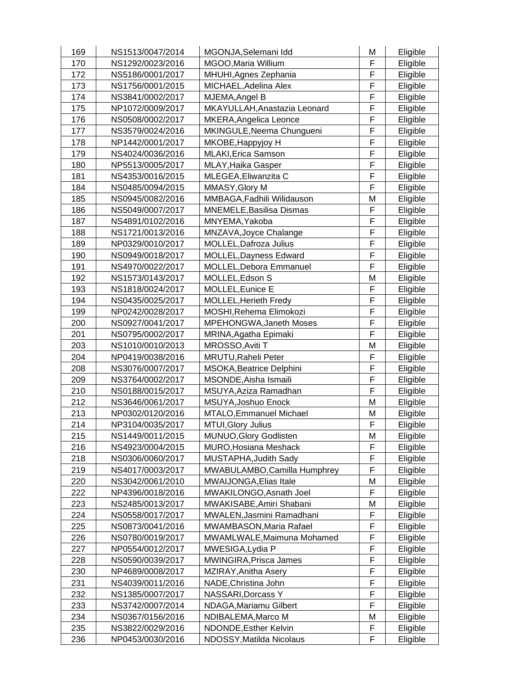| 169 | NS1513/0047/2014 | MGONJA, Selemani Idd            | M | Eligible |
|-----|------------------|---------------------------------|---|----------|
| 170 | NS1292/0023/2016 | MGOO, Maria Willium             | F | Eligible |
| 172 | NS5186/0001/2017 | MHUHI, Agnes Zephania           | F | Eligible |
| 173 | NS1756/0001/2015 | MICHAEL, Adelina Alex           | F | Eligible |
| 174 | NS3841/0002/2017 | MJEMA, Angel B                  | F | Eligible |
| 175 | NP1072/0009/2017 | MKAYULLAH, Anastazia Leonard    | F | Eligible |
| 176 | NS0508/0002/2017 | MKERA, Angelica Leonce          | F | Eligible |
| 177 | NS3579/0024/2016 | MKINGULE, Neema Chungueni       | F | Eligible |
| 178 | NP1442/0001/2017 | MKOBE, Happyjoy H               | F | Eligible |
| 179 | NS4024/0036/2016 | MLAKI, Erica Samson             | F | Eligible |
| 180 | NP5513/0005/2017 | MLAY, Haika Gasper              | F | Eligible |
| 181 | NS4353/0016/2015 | MLEGEA, Eliwanzita C            | F | Eligible |
| 184 | NS0485/0094/2015 | MMASY, Glory M                  | F | Eligible |
| 185 | NS0945/0082/2016 | MMBAGA, Fadhili Wilidauson      | Μ | Eligible |
| 186 | NS5049/0007/2017 | <b>MNEMELE, Basilisa Dismas</b> | F | Eligible |
| 187 | NS4891/0102/2016 | MNYEMA, Yakoba                  | F | Eligible |
| 188 | NS1721/0013/2016 | MNZAVA, Joyce Chalange          | F | Eligible |
| 189 | NP0329/0010/2017 | MOLLEL, Dafroza Julius          | F | Eligible |
| 190 | NS0949/0018/2017 | MOLLEL, Dayness Edward          | F | Eligible |
| 191 | NS4970/0022/2017 | MOLLEL, Debora Emmanuel         | F | Eligible |
| 192 | NS1573/0143/2017 | MOLLEL, Edson S                 | M | Eligible |
| 193 | NS1818/0024/2017 | MOLLEL, Eunice E                | F | Eligible |
| 194 | NS0435/0025/2017 | <b>MOLLEL, Herieth Fredy</b>    | F | Eligible |
| 199 | NP0242/0028/2017 | MOSHI, Rehema Elimokozi         | F | Eligible |
| 200 | NS0927/0041/2017 | <b>MPEHONGWA, Janeth Moses</b>  | F | Eligible |
| 201 | NS0795/0002/2017 | MRINA, Agatha Epimaki           | F | Eligible |
| 203 | NS1010/0010/2013 | MROSSO, Aviti T                 | M | Eligible |
| 204 | NP0419/0038/2016 | MRUTU, Raheli Peter             | F | Eligible |
| 208 | NS3076/0007/2017 | MSOKA, Beatrice Delphini        | F | Eligible |
| 209 | NS3764/0002/2017 | MSONDE, Aisha Ismaili           | F | Eligible |
| 210 | NS0188/0015/2017 | MSUYA, Aziza Ramadhan           | F | Eligible |
| 212 | NS3646/0061/2017 | MSUYA, Joshuo Enock             | M | Eligible |
| 213 | NP0302/0120/2016 | MTALO, Emmanuel Michael         | M | Eligible |
| 214 | NP3104/0035/2017 | MTUI, Glory Julius              | F | Eligible |
| 215 | NS1449/0011/2015 | MUNUO, Glory Godlisten          | M | Eligible |
| 216 | NS4923/0004/2015 | MURO, Hosiana Meshack           | F | Eligible |
| 218 | NS0306/0060/2017 | MUSTAPHA, Judith Sady           | F | Eligible |
| 219 | NS4017/0003/2017 | MWABULAMBO, Camilla Humphrey    | F | Eligible |
| 220 | NS3042/0061/2010 | MWAIJONGA, Elias Itale          | M | Eligible |
| 222 | NP4396/0018/2016 | MWAKILONGO, Asnath Joel         | F | Eligible |
| 223 | NS2485/0013/2017 | MWAKISABE, Amiri Shabani        | M | Eligible |
| 224 | NS0558/0017/2017 | MWALEN, Jasmini Ramadhani       | F | Eligible |
| 225 | NS0873/0041/2016 | MWAMBASON, Maria Rafael         | F | Eligible |
| 226 | NS0780/0019/2017 | MWAMLWALE, Maimuna Mohamed      | F | Eligible |
| 227 | NP0554/0012/2017 | MWESIGA, Lydia P                | F | Eligible |
| 228 | NS0590/0039/2017 | MWINGIRA, Prisca James          | F | Eligible |
| 230 | NP4689/0008/2017 | MZIRAY, Anitha Asery            | F | Eligible |
| 231 | NS4039/0011/2016 | NADE, Christina John            | F | Eligible |
| 232 | NS1385/0007/2017 | NASSARI, Dorcass Y              | F | Eligible |
| 233 | NS3742/0007/2014 | NDAGA, Mariamu Gilbert          | F | Eligible |
| 234 | NS0367/0156/2016 | NDIBALEMA, Marco M              | M | Eligible |
| 235 | NS3822/0029/2016 | NDONDE, Esther Kelvin           | F | Eligible |
| 236 | NP0453/0030/2016 | NDOSSY, Matilda Nicolaus        | F | Eligible |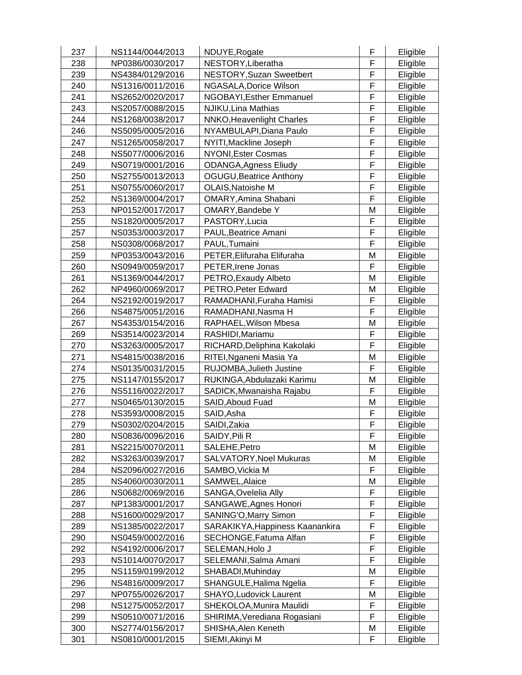| 237 | NS1144/0044/2013 | NDUYE, Rogate                    | F | Eligible |
|-----|------------------|----------------------------------|---|----------|
| 238 | NP0386/0030/2017 | NESTORY, Liberatha               | F | Eligible |
| 239 | NS4384/0129/2016 | <b>NESTORY, Suzan Sweetbert</b>  | F | Eligible |
| 240 | NS1316/0011/2016 | NGASALA, Dorice Wilson           | F | Eligible |
| 241 | NS2652/0020/2017 | NGOBAYI, Esther Emmanuel         | F | Eligible |
| 243 | NS2057/0088/2015 | NJIKU, Lina Mathias              | F | Eligible |
| 244 | NS1268/0038/2017 | <b>NNKO, Heavenlight Charles</b> | F | Eligible |
| 246 | NS5095/0005/2016 | NYAMBULAPI, Diana Paulo          | F | Eligible |
| 247 | NS1265/0058/2017 | NYITI, Mackline Joseph           | F | Eligible |
| 248 | NS5077/0006/2016 | NYONI, Ester Cosmas              | F | Eligible |
| 249 | NS0719/0001/2016 | <b>ODANGA, Agness Eliudy</b>     | F | Eligible |
| 250 | NS2755/0013/2013 | <b>OGUGU, Beatrice Anthony</b>   | F | Eligible |
| 251 | NS0755/0060/2017 | OLAIS, Natoishe M                | F | Eligible |
| 252 | NS1369/0004/2017 | OMARY, Amina Shabani             | F | Eligible |
| 253 | NP0152/0017/2017 | OMARY, Bandebe Y                 | M | Eligible |
| 255 | NS1820/0005/2017 | PASTORY, Lucia                   | F | Eligible |
| 257 | NS0353/0003/2017 | PAUL, Beatrice Amani             | F | Eligible |
| 258 | NS0308/0068/2017 | PAUL, Tumaini                    | F | Eligible |
| 259 | NP0353/0043/2016 | PETER, Elifuraha Elifuraha       | Μ | Eligible |
| 260 | NS0949/0059/2017 | PETER, Irene Jonas               | F | Eligible |
| 261 | NS1369/0044/2017 | PETRO, Exaudy Albeto             | M | Eligible |
| 262 | NP4960/0069/2017 | PETRO, Peter Edward              | M | Eligible |
| 264 | NS2192/0019/2017 | RAMADHANI, Furaha Hamisi         | F | Eligible |
| 266 | NS4875/0051/2016 | RAMADHANI, Nasma H               | F | Eligible |
| 267 | NS4353/0154/2016 | RAPHAEL, Wilson Mbesa            | M | Eligible |
| 269 | NS3514/0023/2014 | RASHIDI, Mariamu                 | F | Eligible |
| 270 | NS3263/0005/2017 | RICHARD, Deliphina Kakolaki      | F | Eligible |
| 271 | NS4815/0038/2016 | RITEI, Nganeni Masia Ya          | M | Eligible |
| 274 | NS0135/0031/2015 | RUJOMBA, Julieth Justine         | F | Eligible |
| 275 | NS1147/0155/2017 | RUKINGA, Abdulazaki Karimu       | M | Eligible |
| 276 | NS5116/0022/2017 | SADICK, Mwanaisha Rajabu         | F | Eligible |
| 277 | NS0465/0130/2015 | SAID, Aboud Fuad                 | M | Eligible |
| 278 | NS3593/0008/2015 | SAID, Asha                       | F | Eligible |
| 279 | NS0302/0204/2015 | SAIDI, Zakia                     | F | Eligible |
| 280 | NS0836/0096/2016 | SAIDY, Pili R                    | F | Eligible |
| 281 | NS2215/0070/2011 | SALEHE, Petro                    | M | Eligible |
| 282 | NS3263/0039/2017 | SALVATORY, Noel Mukuras          | M | Eligible |
| 284 | NS2096/0027/2016 | SAMBO, Vickia M                  | F | Eligible |
| 285 | NS4060/0030/2011 | SAMWEL, Alaice                   | M | Eligible |
| 286 | NS0682/0069/2016 | SANGA, Ovelelia Ally             | F | Eligible |
| 287 | NP1383/0001/2017 | SANGAWE, Agnes Honori            | F | Eligible |
| 288 | NS1600/0029/2017 | SANING'O, Marry Simon            | F | Eligible |
| 289 | NS1385/0022/2017 | SARAKIKYA, Happiness Kaanankira  | F | Eligible |
| 290 | NS0459/0002/2016 | SECHONGE, Fatuma Alfan           | F | Eligible |
| 292 | NS4192/0006/2017 | SELEMAN, Holo J                  | F | Eligible |
| 293 | NS1014/0070/2017 | SELEMANI, Salma Amani            | F | Eligible |
| 295 | NS1159/0199/2012 | SHABADI, Muhinday                | Μ | Eligible |
| 296 | NS4816/0009/2017 | SHANGULE, Halima Ngelia          | F | Eligible |
| 297 | NP0755/0026/2017 | <b>SHAYO, Ludovick Laurent</b>   | M | Eligible |
| 298 | NS1275/0052/2017 | SHEKOLOA, Munira Maulidi         | F | Eligible |
| 299 | NS0510/0071/2016 | SHIRIMA, Verediana Rogasiani     | F | Eligible |
| 300 | NS2774/0156/2017 | SHISHA, Alen Keneth              | M | Eligible |
| 301 | NS0810/0001/2015 | SIEMI, Akinyi M                  | F | Eligible |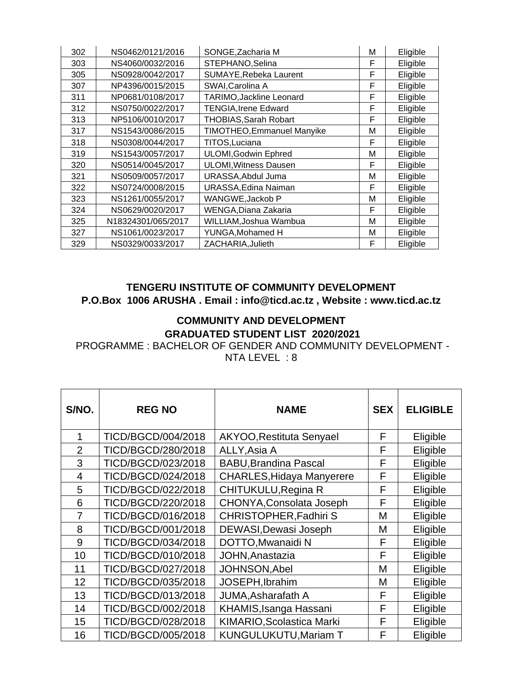| 302 | NS0462/0121/2016   | SONGE, Zacharia M                 | м | Eligible |
|-----|--------------------|-----------------------------------|---|----------|
| 303 | NS4060/0032/2016   | STEPHANO, Selina                  | F | Eligible |
| 305 | NS0928/0042/2017   | SUMAYE, Rebeka Laurent            | F | Eligible |
| 307 | NP4396/0015/2015   | SWAI, Carolina A                  | F | Eligible |
| 311 | NP0681/0108/2017   | TARIMO, Jackline Leonard          | F | Eligible |
| 312 | NS0750/0022/2017   | <b>TENGIA, Irene Edward</b>       | F | Eligible |
| 313 | NP5106/0010/2017   | <b>THOBIAS, Sarah Robart</b>      | F | Eligible |
| 317 | NS1543/0086/2015   | <b>TIMOTHEO, Emmanuel Manyike</b> | М | Eligible |
| 318 | NS0308/0044/2017   | TITOS, Luciana                    | F | Eligible |
| 319 | NS1543/0057/2017   | <b>ULOMI, Godwin Ephred</b>       | М | Eligible |
| 320 | NS0514/0045/2017   | <b>ULOMI, Witness Dausen</b>      | F | Eligible |
| 321 | NS0509/0057/2017   | URASSA, Abdul Juma                | M | Eligible |
| 322 | NS0724/0008/2015   | URASSA, Edina Naiman              | F | Eligible |
| 323 | NS1261/0055/2017   | WANGWE, Jackob P                  | Μ | Eligible |
| 324 | NS0629/0020/2017   | WENGA, Diana Zakaria              | F | Eligible |
| 325 | N18324301/065/2017 | WILLIAM, Joshua Wambua            | M | Eligible |
| 327 | NS1061/0023/2017   | YUNGA, Mohamed H                  | M | Eligible |
| 329 | NS0329/0033/2017   | ZACHARIA, Julieth                 | F | Eligible |

#### **TENGERU INSTITUTE OF COMMUNITY DEVELOPMENT P.O.Box 1006 ARUSHA . Email : info@ticd.ac.tz , Website : www.ticd.ac.tz**

#### **COMMUNITY AND DEVELOPMENT GRADUATED STUDENT LIST 2020/2021**

PROGRAMME : BACHELOR OF GENDER AND COMMUNITY DEVELOPMENT - NTA LEVEL : 8

| S/NO.          | <b>REG NO</b>      | <b>NAME</b>                      | <b>SEX</b> | <b>ELIGIBLE</b> |
|----------------|--------------------|----------------------------------|------------|-----------------|
| 1              | TICD/BGCD/004/2018 | AKYOO, Restituta Senyael         | F          | Eligible        |
| $\overline{2}$ | TICD/BGCD/280/2018 | ALLY, Asia A                     | F          | Eligible        |
| 3              | TICD/BGCD/023/2018 | <b>BABU, Brandina Pascal</b>     | F          | Eligible        |
| 4              | TICD/BGCD/024/2018 | <b>CHARLES, Hidaya Manyerere</b> | F          | Eligible        |
| 5              | TICD/BGCD/022/2018 | CHITUKULU, Regina R              | F          | Eligible        |
| 6              | TICD/BGCD/220/2018 | CHONYA, Consolata Joseph         | F          | Eligible        |
| 7              | TICD/BGCD/016/2018 | <b>CHRISTOPHER, Fadhiri S</b>    | М          | Eligible        |
| 8              | TICD/BGCD/001/2018 | DEWASI, Dewasi Joseph            | М          | Eligible        |
| 9              | TICD/BGCD/034/2018 | DOTTO, Mwanaidi N                | F          | Eligible        |
| 10             | TICD/BGCD/010/2018 | JOHN, Anastazia                  | F          | Eligible        |
| 11             | TICD/BGCD/027/2018 | <b>JOHNSON, Abel</b>             | М          | Eligible        |
| 12             | TICD/BGCD/035/2018 | JOSEPH, Ibrahim                  | М          | Eligible        |
| 13             | TICD/BGCD/013/2018 | JUMA, Asharafath A               | F          | Eligible        |
| 14             | TICD/BGCD/002/2018 | KHAMIS, Isanga Hassani           | F          | Eligible        |
| 15             | TICD/BGCD/028/2018 | KIMARIO, Scolastica Marki        | F          | Eligible        |
| 16             | TICD/BGCD/005/2018 | <b>KUNGULUKUTU, Mariam T</b>     | F          | Eligible        |